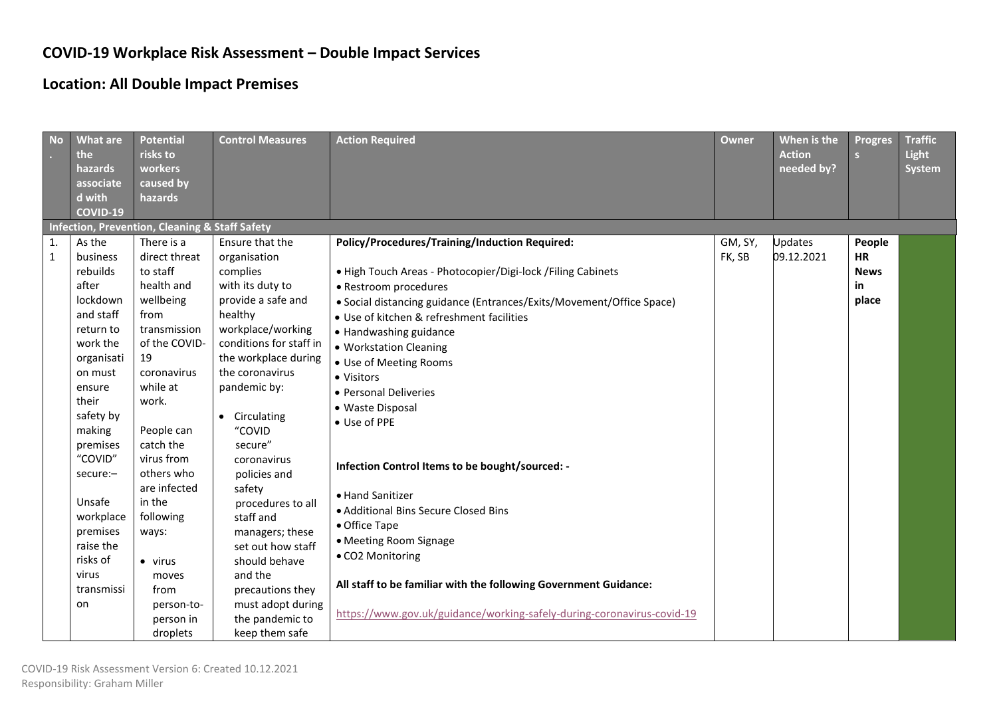## **COVID-19 Workplace Risk Assessment – Double Impact Services**

## **Location: All Double Impact Premises**

| <b>No</b>          | <b>What are</b><br>the<br>hazards<br>associate<br>d with<br><b>COVID-19</b>                                                                                                                                            | <b>Potential</b><br>risks to<br>workers<br>caused by<br>hazards                                                                                                                                                                                     | <b>Control Measures</b>                                                                                                                                                                                                                                                                                                      | <b>Action Required</b>                                                                                                                                                                                                                                                                                                                                                                                                                                                                                                               | <b>Owner</b>      | When is the<br><b>Action</b><br>needed by? | <b>Progres</b><br>S                               | <b>Traffic</b><br>Light<br><b>System</b> |
|--------------------|------------------------------------------------------------------------------------------------------------------------------------------------------------------------------------------------------------------------|-----------------------------------------------------------------------------------------------------------------------------------------------------------------------------------------------------------------------------------------------------|------------------------------------------------------------------------------------------------------------------------------------------------------------------------------------------------------------------------------------------------------------------------------------------------------------------------------|--------------------------------------------------------------------------------------------------------------------------------------------------------------------------------------------------------------------------------------------------------------------------------------------------------------------------------------------------------------------------------------------------------------------------------------------------------------------------------------------------------------------------------------|-------------------|--------------------------------------------|---------------------------------------------------|------------------------------------------|
|                    |                                                                                                                                                                                                                        | Infection, Prevention, Cleaning & Staff Safety                                                                                                                                                                                                      |                                                                                                                                                                                                                                                                                                                              |                                                                                                                                                                                                                                                                                                                                                                                                                                                                                                                                      |                   |                                            |                                                   |                                          |
| 1.<br>$\mathbf{1}$ | As the<br>business<br>rebuilds<br>after<br>lockdown<br>and staff<br>return to<br>work the<br>organisati<br>on must<br>ensure<br>their<br>safety by<br>making<br>premises<br>"COVID"<br>secure:-<br>Unsafe<br>workplace | There is a<br>direct threat<br>to staff<br>health and<br>wellbeing<br>from<br>transmission<br>of the COVID-<br>19<br>coronavirus<br>while at<br>work.<br>People can<br>catch the<br>virus from<br>others who<br>are infected<br>in the<br>following | Ensure that the<br>organisation<br>complies<br>with its duty to<br>provide a safe and<br>healthy<br>workplace/working<br>conditions for staff in<br>the workplace during<br>the coronavirus<br>pandemic by:<br>• Circulating<br>"COVID<br>secure"<br>coronavirus<br>policies and<br>safety<br>procedures to all<br>staff and | Policy/Procedures/Training/Induction Required:<br>· High Touch Areas - Photocopier/Digi-lock / Filing Cabinets<br>• Restroom procedures<br>• Social distancing guidance (Entrances/Exits/Movement/Office Space)<br>• Use of kitchen & refreshment facilities<br>• Handwashing guidance<br>• Workstation Cleaning<br>• Use of Meeting Rooms<br>• Visitors<br>• Personal Deliveries<br>• Waste Disposal<br>• Use of PPE<br>Infection Control Items to be bought/sourced: -<br>• Hand Sanitizer<br>• Additional Bins Secure Closed Bins | GM, SY,<br>FK, SB | Jpdates<br>09.12.2021                      | People<br><b>HR</b><br><b>News</b><br>in<br>place |                                          |
|                    | premises<br>raise the<br>risks of                                                                                                                                                                                      | ways:<br>$\bullet$ virus                                                                                                                                                                                                                            | managers; these<br>set out how staff<br>should behave                                                                                                                                                                                                                                                                        | • Office Tape<br>• Meeting Room Signage<br>• CO2 Monitoring                                                                                                                                                                                                                                                                                                                                                                                                                                                                          |                   |                                            |                                                   |                                          |
|                    | virus<br>transmissi<br>on                                                                                                                                                                                              | moves<br>from<br>person-to-<br>person in<br>droplets                                                                                                                                                                                                | and the<br>precautions they<br>must adopt during<br>the pandemic to<br>keep them safe                                                                                                                                                                                                                                        | All staff to be familiar with the following Government Guidance:<br>https://www.gov.uk/guidance/working-safely-during-coronavirus-covid-19                                                                                                                                                                                                                                                                                                                                                                                           |                   |                                            |                                                   |                                          |
|                    |                                                                                                                                                                                                                        |                                                                                                                                                                                                                                                     |                                                                                                                                                                                                                                                                                                                              |                                                                                                                                                                                                                                                                                                                                                                                                                                                                                                                                      |                   |                                            |                                                   |                                          |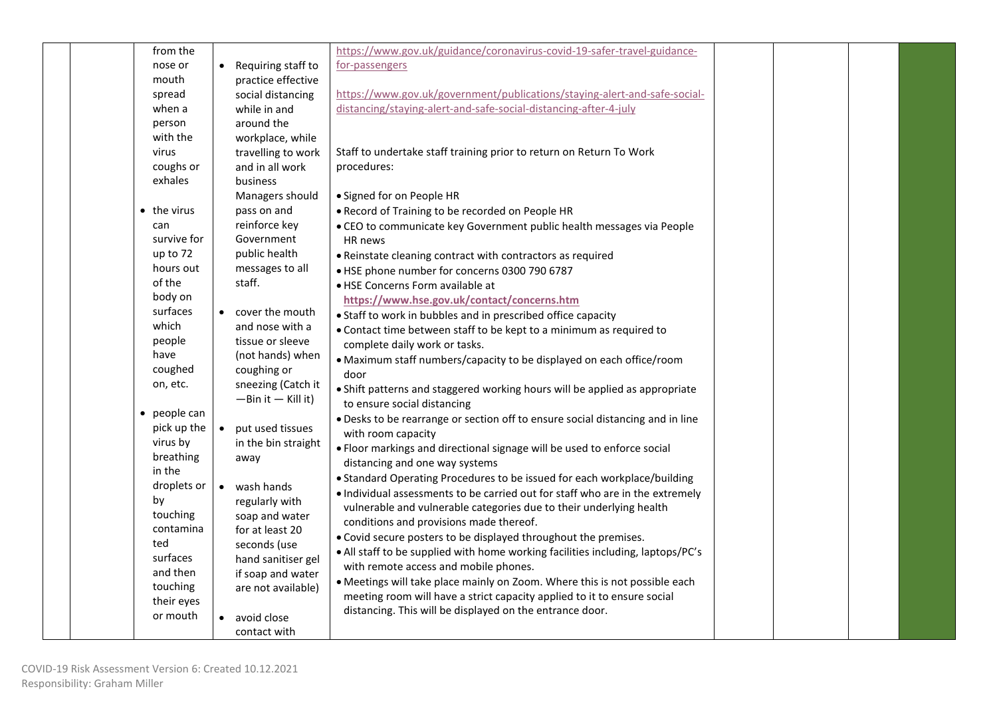| • Requiring staff to<br>for-passengers<br>nose or<br>mouth<br>practice effective<br>https://www.gov.uk/government/publications/staying-alert-and-safe-social-<br>spread<br>social distancing<br>distancing/staying-alert-and-safe-social-distancing-after-4-july<br>when a<br>while in and<br>around the<br>person<br>with the<br>workplace, while<br>virus<br>travelling to work<br>Staff to undertake staff training prior to return on Return To Work<br>coughs or<br>and in all work<br>procedures:<br>exhales<br>business<br>Managers should<br>• Signed for on People HR<br>$\bullet$ the virus<br>pass on and<br>. Record of Training to be recorded on People HR<br>reinforce key<br>can<br>• CEO to communicate key Government public health messages via People<br>Government<br>survive for<br>HR news |  |
|-------------------------------------------------------------------------------------------------------------------------------------------------------------------------------------------------------------------------------------------------------------------------------------------------------------------------------------------------------------------------------------------------------------------------------------------------------------------------------------------------------------------------------------------------------------------------------------------------------------------------------------------------------------------------------------------------------------------------------------------------------------------------------------------------------------------|--|
|                                                                                                                                                                                                                                                                                                                                                                                                                                                                                                                                                                                                                                                                                                                                                                                                                   |  |
|                                                                                                                                                                                                                                                                                                                                                                                                                                                                                                                                                                                                                                                                                                                                                                                                                   |  |
|                                                                                                                                                                                                                                                                                                                                                                                                                                                                                                                                                                                                                                                                                                                                                                                                                   |  |
|                                                                                                                                                                                                                                                                                                                                                                                                                                                                                                                                                                                                                                                                                                                                                                                                                   |  |
|                                                                                                                                                                                                                                                                                                                                                                                                                                                                                                                                                                                                                                                                                                                                                                                                                   |  |
|                                                                                                                                                                                                                                                                                                                                                                                                                                                                                                                                                                                                                                                                                                                                                                                                                   |  |
|                                                                                                                                                                                                                                                                                                                                                                                                                                                                                                                                                                                                                                                                                                                                                                                                                   |  |
|                                                                                                                                                                                                                                                                                                                                                                                                                                                                                                                                                                                                                                                                                                                                                                                                                   |  |
|                                                                                                                                                                                                                                                                                                                                                                                                                                                                                                                                                                                                                                                                                                                                                                                                                   |  |
|                                                                                                                                                                                                                                                                                                                                                                                                                                                                                                                                                                                                                                                                                                                                                                                                                   |  |
|                                                                                                                                                                                                                                                                                                                                                                                                                                                                                                                                                                                                                                                                                                                                                                                                                   |  |
|                                                                                                                                                                                                                                                                                                                                                                                                                                                                                                                                                                                                                                                                                                                                                                                                                   |  |
|                                                                                                                                                                                                                                                                                                                                                                                                                                                                                                                                                                                                                                                                                                                                                                                                                   |  |
| up to 72<br>public health<br>• Reinstate cleaning contract with contractors as required                                                                                                                                                                                                                                                                                                                                                                                                                                                                                                                                                                                                                                                                                                                           |  |
| hours out<br>messages to all<br>• HSE phone number for concerns 0300 790 6787                                                                                                                                                                                                                                                                                                                                                                                                                                                                                                                                                                                                                                                                                                                                     |  |
| of the<br>staff.<br>· HSE Concerns Form available at                                                                                                                                                                                                                                                                                                                                                                                                                                                                                                                                                                                                                                                                                                                                                              |  |
| body on<br>https://www.hse.gov.uk/contact/concerns.htm                                                                                                                                                                                                                                                                                                                                                                                                                                                                                                                                                                                                                                                                                                                                                            |  |
| surfaces<br>• cover the mouth<br>• Staff to work in bubbles and in prescribed office capacity                                                                                                                                                                                                                                                                                                                                                                                                                                                                                                                                                                                                                                                                                                                     |  |
| which<br>and nose with a<br>• Contact time between staff to be kept to a minimum as required to                                                                                                                                                                                                                                                                                                                                                                                                                                                                                                                                                                                                                                                                                                                   |  |
| tissue or sleeve<br>people<br>complete daily work or tasks.                                                                                                                                                                                                                                                                                                                                                                                                                                                                                                                                                                                                                                                                                                                                                       |  |
| have<br>(not hands) when<br>· Maximum staff numbers/capacity to be displayed on each office/room                                                                                                                                                                                                                                                                                                                                                                                                                                                                                                                                                                                                                                                                                                                  |  |
| coughed<br>coughing or<br>door                                                                                                                                                                                                                                                                                                                                                                                                                                                                                                                                                                                                                                                                                                                                                                                    |  |
| sneezing (Catch it<br>on, etc.<br>• Shift patterns and staggered working hours will be applied as appropriate                                                                                                                                                                                                                                                                                                                                                                                                                                                                                                                                                                                                                                                                                                     |  |
| $-Bin it - Kill it)$<br>to ensure social distancing                                                                                                                                                                                                                                                                                                                                                                                                                                                                                                                                                                                                                                                                                                                                                               |  |
| people can<br>$\bullet$<br>. Desks to be rearrange or section off to ensure social distancing and in line                                                                                                                                                                                                                                                                                                                                                                                                                                                                                                                                                                                                                                                                                                         |  |
| pick up the<br>put used tissues<br>$\bullet$<br>with room capacity                                                                                                                                                                                                                                                                                                                                                                                                                                                                                                                                                                                                                                                                                                                                                |  |
| virus by<br>in the bin straight<br>. Floor markings and directional signage will be used to enforce social<br>breathing                                                                                                                                                                                                                                                                                                                                                                                                                                                                                                                                                                                                                                                                                           |  |
| away<br>distancing and one way systems<br>in the                                                                                                                                                                                                                                                                                                                                                                                                                                                                                                                                                                                                                                                                                                                                                                  |  |
| • Standard Operating Procedures to be issued for each workplace/building<br>droplets or<br>• wash hands                                                                                                                                                                                                                                                                                                                                                                                                                                                                                                                                                                                                                                                                                                           |  |
| . Individual assessments to be carried out for staff who are in the extremely<br>by<br>regularly with                                                                                                                                                                                                                                                                                                                                                                                                                                                                                                                                                                                                                                                                                                             |  |
| vulnerable and vulnerable categories due to their underlying health<br>touching<br>soap and water                                                                                                                                                                                                                                                                                                                                                                                                                                                                                                                                                                                                                                                                                                                 |  |
| conditions and provisions made thereof.<br>contamina<br>for at least 20                                                                                                                                                                                                                                                                                                                                                                                                                                                                                                                                                                                                                                                                                                                                           |  |
| . Covid secure posters to be displayed throughout the premises.<br>ted<br>seconds (use                                                                                                                                                                                                                                                                                                                                                                                                                                                                                                                                                                                                                                                                                                                            |  |
| • All staff to be supplied with home working facilities including, laptops/PC's<br>surfaces<br>hand sanitiser gel                                                                                                                                                                                                                                                                                                                                                                                                                                                                                                                                                                                                                                                                                                 |  |
| with remote access and mobile phones.<br>and then<br>if soap and water                                                                                                                                                                                                                                                                                                                                                                                                                                                                                                                                                                                                                                                                                                                                            |  |
| • Meetings will take place mainly on Zoom. Where this is not possible each<br>touching<br>are not available)                                                                                                                                                                                                                                                                                                                                                                                                                                                                                                                                                                                                                                                                                                      |  |
| meeting room will have a strict capacity applied to it to ensure social<br>their eyes                                                                                                                                                                                                                                                                                                                                                                                                                                                                                                                                                                                                                                                                                                                             |  |
| distancing. This will be displayed on the entrance door.<br>or mouth<br>• avoid close                                                                                                                                                                                                                                                                                                                                                                                                                                                                                                                                                                                                                                                                                                                             |  |
| contact with                                                                                                                                                                                                                                                                                                                                                                                                                                                                                                                                                                                                                                                                                                                                                                                                      |  |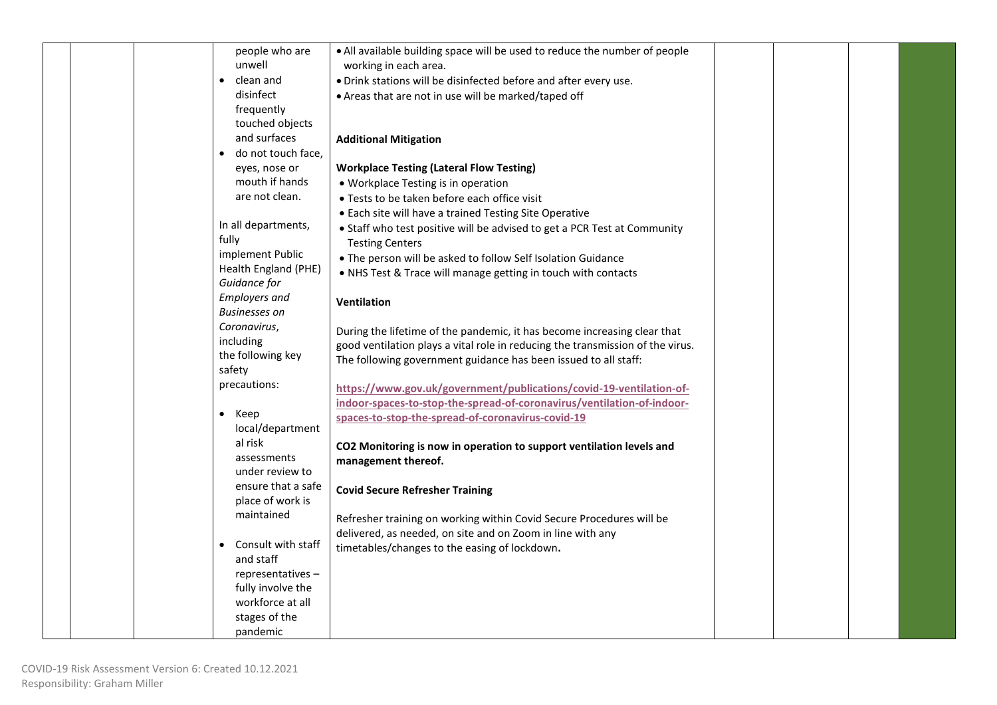| people who are              | • All available building space will be used to reduce the number of people     |  |  |
|-----------------------------|--------------------------------------------------------------------------------|--|--|
| unwell                      | working in each area.                                                          |  |  |
| clean and                   | . Drink stations will be disinfected before and after every use.               |  |  |
| disinfect                   | • Areas that are not in use will be marked/taped off                           |  |  |
| frequently                  |                                                                                |  |  |
| touched objects             |                                                                                |  |  |
| and surfaces                | <b>Additional Mitigation</b>                                                   |  |  |
| do not touch face,          |                                                                                |  |  |
| eyes, nose or               | <b>Workplace Testing (Lateral Flow Testing)</b>                                |  |  |
| mouth if hands              | • Workplace Testing is in operation                                            |  |  |
| are not clean.              | • Tests to be taken before each office visit                                   |  |  |
|                             | • Each site will have a trained Testing Site Operative                         |  |  |
| In all departments,         | • Staff who test positive will be advised to get a PCR Test at Community       |  |  |
| fully                       | <b>Testing Centers</b>                                                         |  |  |
| implement Public            | . The person will be asked to follow Self Isolation Guidance                   |  |  |
| Health England (PHE)        | . NHS Test & Trace will manage getting in touch with contacts                  |  |  |
| Guidance for                |                                                                                |  |  |
| <b>Employers and</b>        | <b>Ventilation</b>                                                             |  |  |
| <b>Businesses on</b>        |                                                                                |  |  |
| Coronavirus,                | During the lifetime of the pandemic, it has become increasing clear that       |  |  |
| including                   | good ventilation plays a vital role in reducing the transmission of the virus. |  |  |
| the following key<br>safety | The following government guidance has been issued to all staff:                |  |  |
| precautions:                |                                                                                |  |  |
|                             | https://www.gov.uk/government/publications/covid-19-ventilation-of-            |  |  |
| $\bullet$ Keep              | indoor-spaces-to-stop-the-spread-of-coronavirus/ventilation-of-indoor-         |  |  |
| local/department            | spaces-to-stop-the-spread-of-coronavirus-covid-19                              |  |  |
| al risk                     |                                                                                |  |  |
| assessments                 | CO2 Monitoring is now in operation to support ventilation levels and           |  |  |
| under review to             | management thereof.                                                            |  |  |
| ensure that a safe          |                                                                                |  |  |
| place of work is            | <b>Covid Secure Refresher Training</b>                                         |  |  |
| maintained                  | Refresher training on working within Covid Secure Procedures will be           |  |  |
|                             | delivered, as needed, on site and on Zoom in line with any                     |  |  |
| Consult with staff          | timetables/changes to the easing of lockdown.                                  |  |  |
| and staff                   |                                                                                |  |  |
| representatives-            |                                                                                |  |  |
| fully involve the           |                                                                                |  |  |
| workforce at all            |                                                                                |  |  |
| stages of the               |                                                                                |  |  |
| pandemic                    |                                                                                |  |  |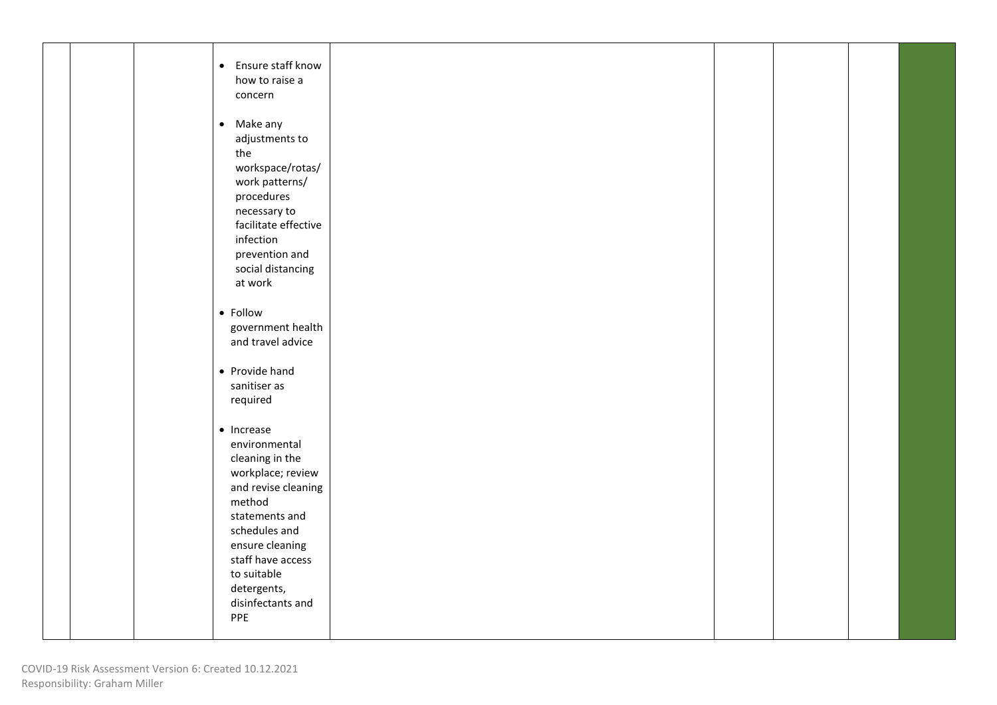|  | • Ensure staff know<br>how to raise a<br>concern                                                                                                                                                                                                  |  |  |  |
|--|---------------------------------------------------------------------------------------------------------------------------------------------------------------------------------------------------------------------------------------------------|--|--|--|
|  | • Make any<br>adjustments to<br>the<br>workspace/rotas/<br>work patterns/<br>procedures<br>necessary to<br>facilitate effective<br>infection<br>prevention and<br>social distancing<br>at work                                                    |  |  |  |
|  | • Follow<br>government health<br>and travel advice                                                                                                                                                                                                |  |  |  |
|  | • Provide hand<br>sanitiser as<br>required                                                                                                                                                                                                        |  |  |  |
|  | $\bullet$ Increase<br>environmental<br>cleaning in the<br>workplace; review<br>and revise cleaning<br>method<br>statements and<br>schedules and<br>ensure cleaning<br>staff have access<br>to suitable<br>detergents,<br>disinfectants and<br>PPE |  |  |  |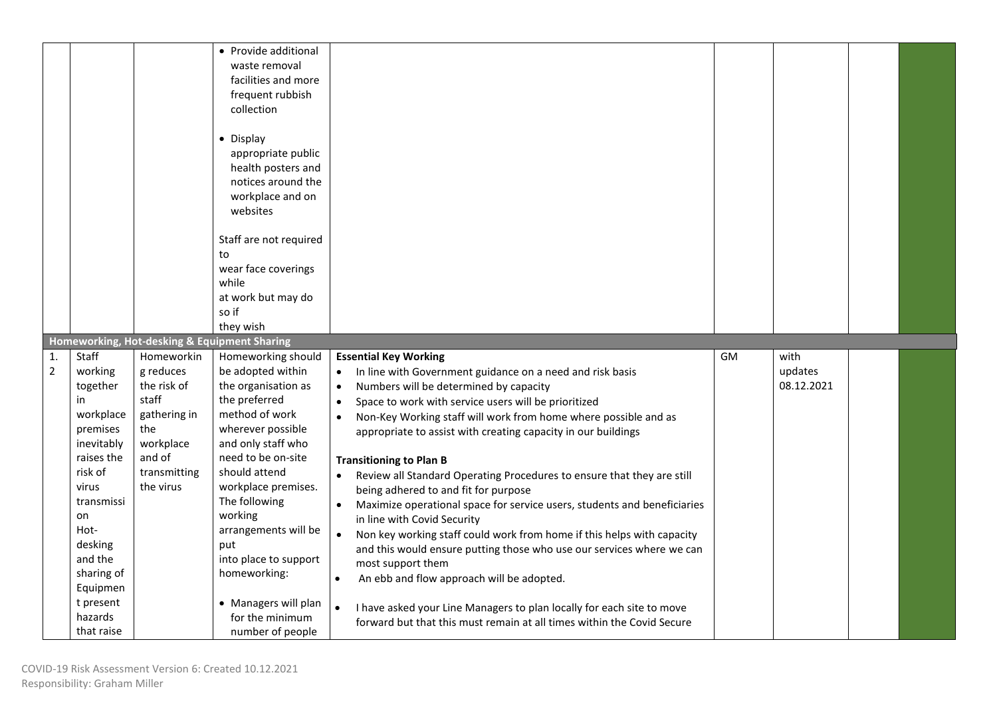|                |                       |                           | • Provide additional<br>waste removal<br>facilities and more<br>frequent rubbish<br>collection<br>• Display<br>appropriate public<br>health posters and<br>notices around the<br>workplace and on<br>websites<br>Staff are not required<br>to<br>wear face coverings<br>while<br>at work but may do<br>so if<br>they wish |                                                                                                                                                              |    |            |  |
|----------------|-----------------------|---------------------------|---------------------------------------------------------------------------------------------------------------------------------------------------------------------------------------------------------------------------------------------------------------------------------------------------------------------------|--------------------------------------------------------------------------------------------------------------------------------------------------------------|----|------------|--|
| $\mathbf{1}$   | Staff                 | Homeworkin                | Homeworking, Hot-desking & Equipment Sharing<br>Homeworking should                                                                                                                                                                                                                                                        | <b>Essential Key Working</b>                                                                                                                                 | GM | with       |  |
|                |                       |                           |                                                                                                                                                                                                                                                                                                                           |                                                                                                                                                              |    |            |  |
| $\overline{2}$ | working               | g reduces                 | be adopted within                                                                                                                                                                                                                                                                                                         | In line with Government guidance on a need and risk basis<br>$\bullet$                                                                                       |    | updates    |  |
|                | together              | the risk of               | the organisation as                                                                                                                                                                                                                                                                                                       | Numbers will be determined by capacity<br>$\bullet$                                                                                                          |    | 08.12.2021 |  |
|                | in                    | staff                     | the preferred                                                                                                                                                                                                                                                                                                             | Space to work with service users will be prioritized                                                                                                         |    |            |  |
|                | workplace             | gathering in              | method of work                                                                                                                                                                                                                                                                                                            | Non-Key Working staff will work from home where possible and as                                                                                              |    |            |  |
|                | premises              | the                       | wherever possible                                                                                                                                                                                                                                                                                                         | appropriate to assist with creating capacity in our buildings                                                                                                |    |            |  |
|                | inevitably            | workplace                 | and only staff who                                                                                                                                                                                                                                                                                                        |                                                                                                                                                              |    |            |  |
|                | raises the            | and of                    | need to be on-site<br>should attend                                                                                                                                                                                                                                                                                       | <b>Transitioning to Plan B</b>                                                                                                                               |    |            |  |
|                | risk of<br>virus      | transmitting<br>the virus | workplace premises.                                                                                                                                                                                                                                                                                                       | Review all Standard Operating Procedures to ensure that they are still                                                                                       |    |            |  |
|                | transmissi            |                           | The following                                                                                                                                                                                                                                                                                                             | being adhered to and fit for purpose                                                                                                                         |    |            |  |
|                | on                    |                           | working                                                                                                                                                                                                                                                                                                                   | Maximize operational space for service users, students and beneficiaries<br>in line with Covid Security                                                      |    |            |  |
|                | Hot-                  |                           | arrangements will be                                                                                                                                                                                                                                                                                                      | Non key working staff could work from home if this helps with capacity<br>$\bullet$                                                                          |    |            |  |
|                | desking               |                           | put                                                                                                                                                                                                                                                                                                                       | and this would ensure putting those who use our services where we can                                                                                        |    |            |  |
|                | and the               |                           | into place to support                                                                                                                                                                                                                                                                                                     | most support them                                                                                                                                            |    |            |  |
|                | sharing of            |                           | homeworking:                                                                                                                                                                                                                                                                                                              | An ebb and flow approach will be adopted.<br>$\bullet$                                                                                                       |    |            |  |
|                | Equipmen<br>t present |                           |                                                                                                                                                                                                                                                                                                                           |                                                                                                                                                              |    |            |  |
|                | hazards               |                           | • Managers will plan<br>for the minimum                                                                                                                                                                                                                                                                                   | I have asked your Line Managers to plan locally for each site to move<br>$\bullet$<br>forward but that this must remain at all times within the Covid Secure |    |            |  |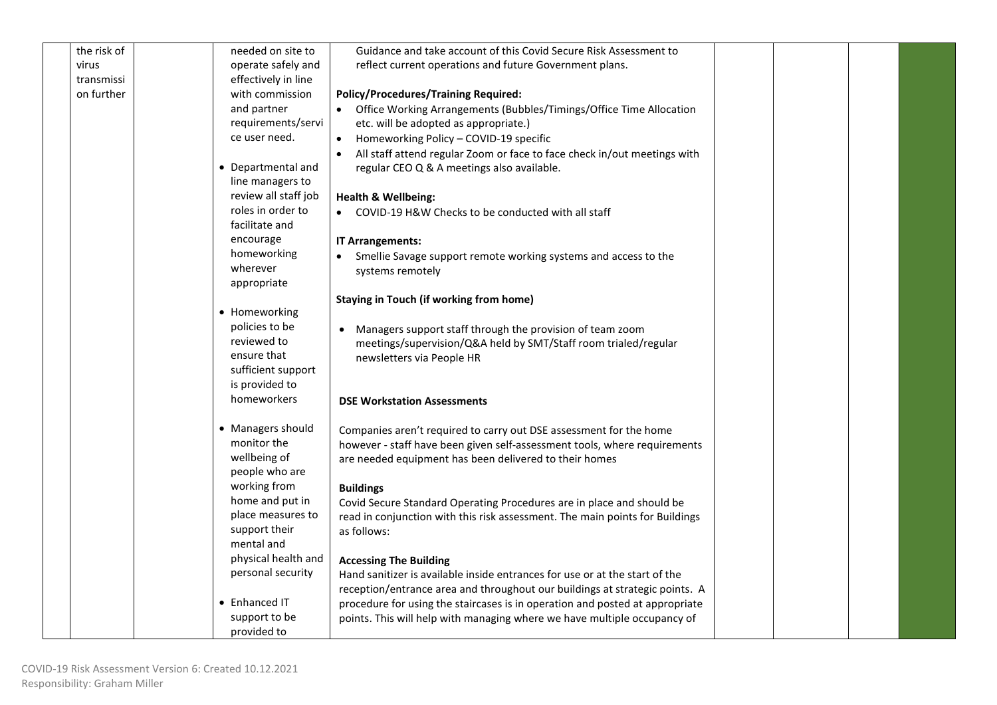| the risk of | needed on site to                    | Guidance and take account of this Covid Secure Risk Assessment to            |  |  |
|-------------|--------------------------------------|------------------------------------------------------------------------------|--|--|
| virus       | operate safely and                   | reflect current operations and future Government plans.                      |  |  |
| transmissi  | effectively in line                  |                                                                              |  |  |
| on further  | with commission                      | <b>Policy/Procedures/Training Required:</b>                                  |  |  |
|             | and partner                          | • Office Working Arrangements (Bubbles/Timings/Office Time Allocation        |  |  |
|             | requirements/servi                   | etc. will be adopted as appropriate.)                                        |  |  |
|             | ce user need.                        | • Homeworking Policy - COVID-19 specific                                     |  |  |
|             |                                      | All staff attend regular Zoom or face to face check in/out meetings with     |  |  |
|             | • Departmental and                   | regular CEO Q & A meetings also available.                                   |  |  |
|             | line managers to                     |                                                                              |  |  |
|             | review all staff job                 | <b>Health &amp; Wellbeing:</b>                                               |  |  |
|             | roles in order to                    | • COVID-19 H&W Checks to be conducted with all staff                         |  |  |
|             | facilitate and                       |                                                                              |  |  |
|             | encourage                            | <b>IT Arrangements:</b>                                                      |  |  |
|             | homeworking                          | • Smellie Savage support remote working systems and access to the            |  |  |
|             | wherever                             | systems remotely                                                             |  |  |
|             | appropriate                          |                                                                              |  |  |
|             |                                      | Staying in Touch (if working from home)                                      |  |  |
|             | • Homeworking                        |                                                                              |  |  |
|             | policies to be                       | Managers support staff through the provision of team zoom                    |  |  |
|             | reviewed to                          | meetings/supervision/Q&A held by SMT/Staff room trialed/regular              |  |  |
|             | ensure that                          | newsletters via People HR                                                    |  |  |
|             | sufficient support                   |                                                                              |  |  |
|             | is provided to                       |                                                                              |  |  |
|             | homeworkers                          | <b>DSE Workstation Assessments</b>                                           |  |  |
|             |                                      |                                                                              |  |  |
|             | • Managers should                    | Companies aren't required to carry out DSE assessment for the home           |  |  |
|             | monitor the                          | however - staff have been given self-assessment tools, where requirements    |  |  |
|             | wellbeing of                         | are needed equipment has been delivered to their homes                       |  |  |
|             | people who are                       |                                                                              |  |  |
|             | working from                         | <b>Buildings</b>                                                             |  |  |
|             | home and put in<br>place measures to | Covid Secure Standard Operating Procedures are in place and should be        |  |  |
|             | support their                        | read in conjunction with this risk assessment. The main points for Buildings |  |  |
|             | mental and                           | as follows:                                                                  |  |  |
|             | physical health and                  |                                                                              |  |  |
|             | personal security                    | <b>Accessing The Building</b>                                                |  |  |
|             |                                      | Hand sanitizer is available inside entrances for use or at the start of the  |  |  |
|             | • Enhanced IT                        | reception/entrance area and throughout our buildings at strategic points. A  |  |  |
|             |                                      | procedure for using the staircases is in operation and posted at appropriate |  |  |
|             | support to be<br>provided to         | points. This will help with managing where we have multiple occupancy of     |  |  |
|             |                                      |                                                                              |  |  |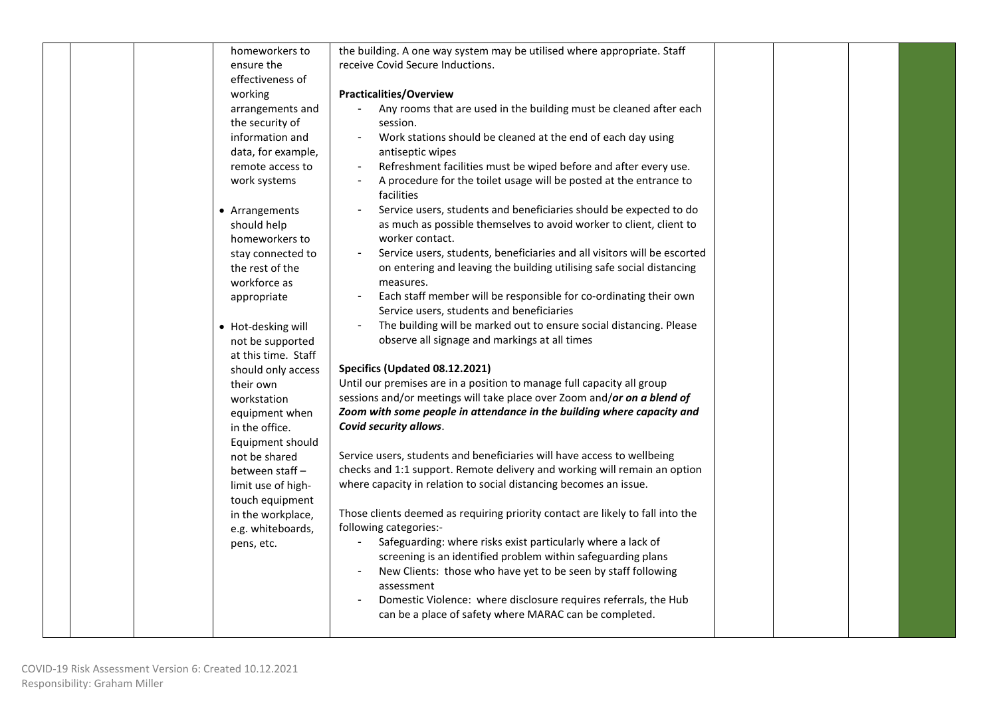| homeworkers to      | the building. A one way system may be utilised where appropriate. Staff          |  |  |
|---------------------|----------------------------------------------------------------------------------|--|--|
| ensure the          | receive Covid Secure Inductions.                                                 |  |  |
| effectiveness of    |                                                                                  |  |  |
| working             | <b>Practicalities/Overview</b>                                                   |  |  |
| arrangements and    | Any rooms that are used in the building must be cleaned after each               |  |  |
| the security of     | session.                                                                         |  |  |
| information and     | Work stations should be cleaned at the end of each day using                     |  |  |
| data, for example,  | antiseptic wipes                                                                 |  |  |
| remote access to    | Refreshment facilities must be wiped before and after every use.                 |  |  |
| work systems        | A procedure for the toilet usage will be posted at the entrance to<br>facilities |  |  |
| • Arrangements      | Service users, students and beneficiaries should be expected to do               |  |  |
| should help         | as much as possible themselves to avoid worker to client, client to              |  |  |
| homeworkers to      | worker contact.                                                                  |  |  |
| stay connected to   | Service users, students, beneficiaries and all visitors will be escorted         |  |  |
| the rest of the     | on entering and leaving the building utilising safe social distancing            |  |  |
| workforce as        | measures.                                                                        |  |  |
| appropriate         | Each staff member will be responsible for co-ordinating their own                |  |  |
|                     | Service users, students and beneficiaries                                        |  |  |
| • Hot-desking will  | The building will be marked out to ensure social distancing. Please              |  |  |
| not be supported    | observe all signage and markings at all times                                    |  |  |
| at this time. Staff |                                                                                  |  |  |
| should only access  | Specifics (Updated 08.12.2021)                                                   |  |  |
| their own           | Until our premises are in a position to manage full capacity all group           |  |  |
| workstation         | sessions and/or meetings will take place over Zoom and/or on a blend of          |  |  |
| equipment when      | Zoom with some people in attendance in the building where capacity and           |  |  |
| in the office.      | Covid security allows.                                                           |  |  |
| Equipment should    |                                                                                  |  |  |
| not be shared       | Service users, students and beneficiaries will have access to wellbeing          |  |  |
| between staff -     | checks and 1:1 support. Remote delivery and working will remain an option        |  |  |
| limit use of high-  | where capacity in relation to social distancing becomes an issue.                |  |  |
| touch equipment     |                                                                                  |  |  |
| in the workplace,   | Those clients deemed as requiring priority contact are likely to fall into the   |  |  |
| e.g. whiteboards,   | following categories:-                                                           |  |  |
| pens, etc.          | Safeguarding: where risks exist particularly where a lack of                     |  |  |
|                     | screening is an identified problem within safeguarding plans                     |  |  |
|                     | New Clients: those who have yet to be seen by staff following                    |  |  |
|                     | assessment                                                                       |  |  |
|                     | Domestic Violence: where disclosure requires referrals, the Hub                  |  |  |
|                     | can be a place of safety where MARAC can be completed.                           |  |  |
|                     |                                                                                  |  |  |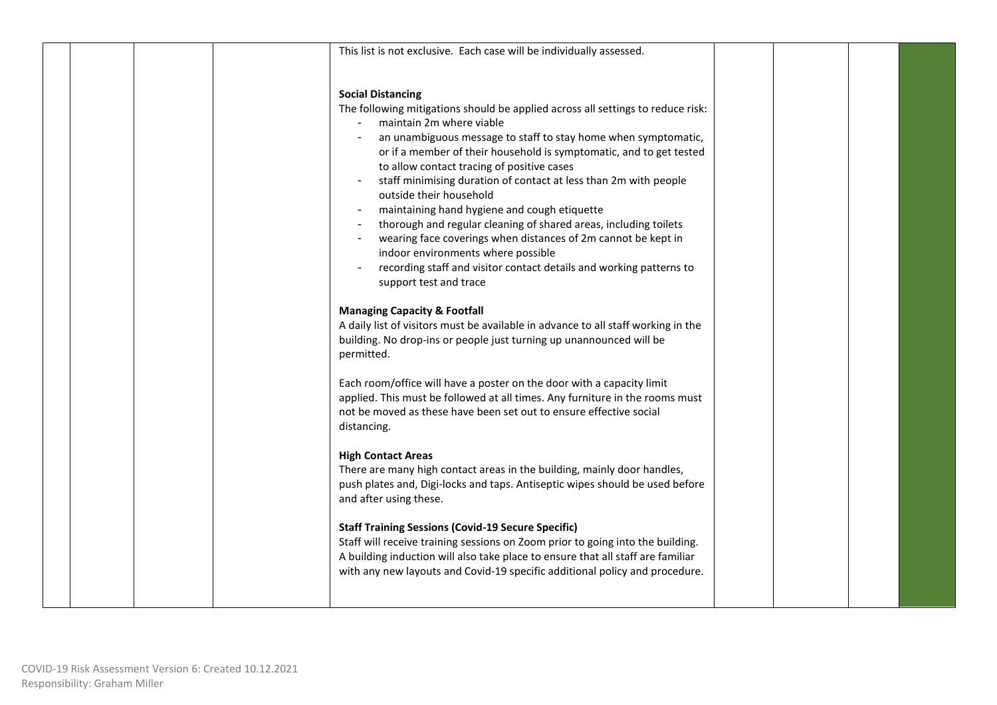|  |  | This list is not exclusive. Each case will be individually assessed.                                                                                                                                                                                                                                                                                                                                                                                                                                                                                                                                                                                                                                                                                                                                                                                                                                                                                                                                                                                    |  |  |
|--|--|---------------------------------------------------------------------------------------------------------------------------------------------------------------------------------------------------------------------------------------------------------------------------------------------------------------------------------------------------------------------------------------------------------------------------------------------------------------------------------------------------------------------------------------------------------------------------------------------------------------------------------------------------------------------------------------------------------------------------------------------------------------------------------------------------------------------------------------------------------------------------------------------------------------------------------------------------------------------------------------------------------------------------------------------------------|--|--|
|  |  | <b>Social Distancing</b><br>The following mitigations should be applied across all settings to reduce risk:<br>maintain 2m where viable<br>an unambiguous message to staff to stay home when symptomatic,<br>or if a member of their household is symptomatic, and to get tested<br>to allow contact tracing of positive cases<br>staff minimising duration of contact at less than 2m with people<br>outside their household<br>maintaining hand hygiene and cough etiquette<br>thorough and regular cleaning of shared areas, including toilets<br>wearing face coverings when distances of 2m cannot be kept in<br>indoor environments where possible<br>recording staff and visitor contact details and working patterns to<br>support test and trace<br><b>Managing Capacity &amp; Footfall</b><br>A daily list of visitors must be available in advance to all staff working in the<br>building. No drop-ins or people just turning up unannounced will be<br>permitted.<br>Each room/office will have a poster on the door with a capacity limit |  |  |
|  |  | applied. This must be followed at all times. Any furniture in the rooms must<br>not be moved as these have been set out to ensure effective social<br>distancing.<br><b>High Contact Areas</b>                                                                                                                                                                                                                                                                                                                                                                                                                                                                                                                                                                                                                                                                                                                                                                                                                                                          |  |  |
|  |  | There are many high contact areas in the building, mainly door handles,<br>push plates and, Digi-locks and taps. Antiseptic wipes should be used before<br>and after using these.<br><b>Staff Training Sessions (Covid-19 Secure Specific)</b>                                                                                                                                                                                                                                                                                                                                                                                                                                                                                                                                                                                                                                                                                                                                                                                                          |  |  |
|  |  | Staff will receive training sessions on Zoom prior to going into the building.<br>A building induction will also take place to ensure that all staff are familiar<br>with any new layouts and Covid-19 specific additional policy and procedure.                                                                                                                                                                                                                                                                                                                                                                                                                                                                                                                                                                                                                                                                                                                                                                                                        |  |  |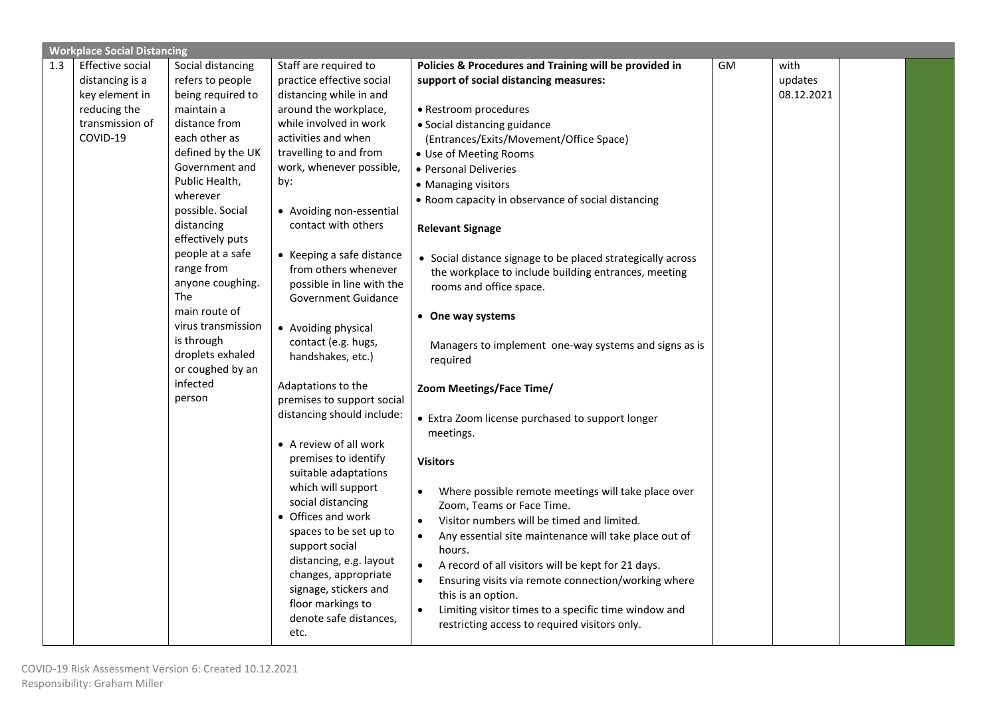|     | <b>Workplace Social Distancing</b> |                                |                                            |                                                                    |    |            |  |
|-----|------------------------------------|--------------------------------|--------------------------------------------|--------------------------------------------------------------------|----|------------|--|
| 1.3 | <b>Effective social</b>            | Social distancing              | Staff are required to                      | Policies & Procedures and Training will be provided in             | GM | with       |  |
|     | distancing is a                    | refers to people               | practice effective social                  | support of social distancing measures:                             |    | updates    |  |
|     | key element in                     | being required to              | distancing while in and                    |                                                                    |    | 08.12.2021 |  |
|     | reducing the                       | maintain a                     | around the workplace,                      | • Restroom procedures                                              |    |            |  |
|     | transmission of                    | distance from                  | while involved in work                     | · Social distancing guidance                                       |    |            |  |
|     | COVID-19                           | each other as                  | activities and when                        | (Entrances/Exits/Movement/Office Space)                            |    |            |  |
|     |                                    | defined by the UK              | travelling to and from                     | · Use of Meeting Rooms                                             |    |            |  |
|     |                                    | Government and                 | work, whenever possible,                   | • Personal Deliveries                                              |    |            |  |
|     |                                    | Public Health,                 | by:                                        | • Managing visitors                                                |    |            |  |
|     |                                    | wherever                       |                                            | • Room capacity in observance of social distancing                 |    |            |  |
|     |                                    | possible. Social               | • Avoiding non-essential                   |                                                                    |    |            |  |
|     |                                    | distancing                     | contact with others                        | <b>Relevant Signage</b>                                            |    |            |  |
|     |                                    | effectively puts               |                                            |                                                                    |    |            |  |
|     |                                    | people at a safe               | • Keeping a safe distance                  | • Social distance signage to be placed strategically across        |    |            |  |
|     |                                    | range from                     | from others whenever                       | the workplace to include building entrances, meeting               |    |            |  |
|     |                                    | anyone coughing.<br><b>The</b> | possible in line with the                  | rooms and office space.                                            |    |            |  |
|     |                                    | main route of                  | <b>Government Guidance</b>                 |                                                                    |    |            |  |
|     |                                    | virus transmission             |                                            | • One way systems                                                  |    |            |  |
|     |                                    | is through                     | • Avoiding physical<br>contact (e.g. hugs, |                                                                    |    |            |  |
|     |                                    | droplets exhaled               | handshakes, etc.)                          | Managers to implement one-way systems and signs as is              |    |            |  |
|     |                                    | or coughed by an               |                                            | required                                                           |    |            |  |
|     |                                    | infected                       | Adaptations to the                         |                                                                    |    |            |  |
|     |                                    | person                         | premises to support social                 | Zoom Meetings/Face Time/                                           |    |            |  |
|     |                                    |                                | distancing should include:                 |                                                                    |    |            |  |
|     |                                    |                                |                                            | • Extra Zoom license purchased to support longer<br>meetings.      |    |            |  |
|     |                                    |                                | • A review of all work                     |                                                                    |    |            |  |
|     |                                    |                                | premises to identify                       | <b>Visitors</b>                                                    |    |            |  |
|     |                                    |                                | suitable adaptations                       |                                                                    |    |            |  |
|     |                                    |                                | which will support                         | Where possible remote meetings will take place over                |    |            |  |
|     |                                    |                                | social distancing                          | Zoom, Teams or Face Time.                                          |    |            |  |
|     |                                    |                                | • Offices and work                         | Visitor numbers will be timed and limited.<br>$\bullet$            |    |            |  |
|     |                                    |                                | spaces to be set up to                     | Any essential site maintenance will take place out of<br>$\bullet$ |    |            |  |
|     |                                    |                                | support social                             | hours.                                                             |    |            |  |
|     |                                    |                                | distancing, e.g. layout                    | A record of all visitors will be kept for 21 days.                 |    |            |  |
|     |                                    |                                | changes, appropriate                       | Ensuring visits via remote connection/working where                |    |            |  |
|     |                                    |                                | signage, stickers and                      | this is an option.                                                 |    |            |  |
|     |                                    |                                | floor markings to                          | Limiting visitor times to a specific time window and<br>$\bullet$  |    |            |  |
|     |                                    |                                | denote safe distances,                     | restricting access to required visitors only.                      |    |            |  |
|     |                                    |                                | etc.                                       |                                                                    |    |            |  |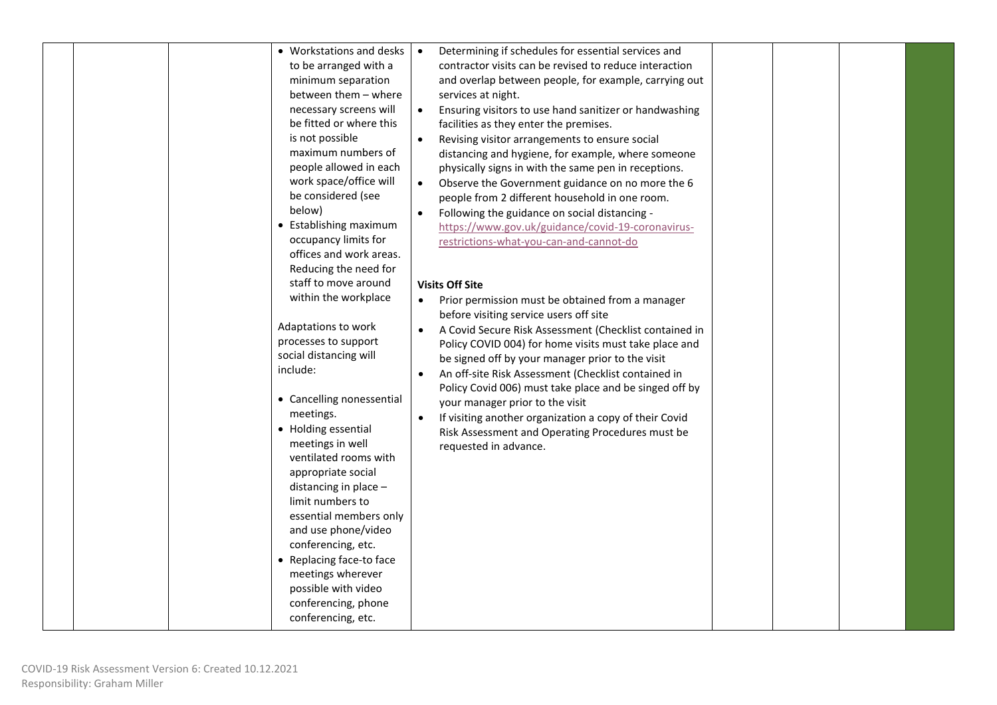|  | • Workstations and desks<br>to be arranged with a<br>minimum separation<br>between them - where<br>necessary screens will<br>be fitted or where this<br>is not possible<br>maximum numbers of<br>people allowed in each<br>work space/office will<br>be considered (see<br>below)<br>• Establishing maximum<br>occupancy limits for<br>offices and work areas.<br>Reducing the need for<br>staff to move around<br>within the workplace<br>Adaptations to work<br>processes to support<br>social distancing will<br>include:<br>• Cancelling nonessential<br>meetings.<br>• Holding essential<br>meetings in well<br>ventilated rooms with<br>appropriate social<br>distancing in place -<br>limit numbers to<br>essential members only<br>and use phone/video<br>conferencing, etc.<br>• Replacing face-to face<br>meetings wherever<br>possible with video<br>conferencing, phone<br>conferencing, etc. | Determining if schedules for essential services and<br>$\bullet$<br>contractor visits can be revised to reduce interaction<br>and overlap between people, for example, carrying out<br>services at night.<br>Ensuring visitors to use hand sanitizer or handwashing<br>$\bullet$<br>facilities as they enter the premises.<br>Revising visitor arrangements to ensure social<br>distancing and hygiene, for example, where someone<br>physically signs in with the same pen in receptions.<br>Observe the Government guidance on no more the 6<br>$\bullet$<br>people from 2 different household in one room.<br>Following the guidance on social distancing -<br>https://www.gov.uk/guidance/covid-19-coronavirus-<br>restrictions-what-you-can-and-cannot-do<br><b>Visits Off Site</b><br>Prior permission must be obtained from a manager<br>before visiting service users off site<br>A Covid Secure Risk Assessment (Checklist contained in<br>Policy COVID 004) for home visits must take place and<br>be signed off by your manager prior to the visit<br>An off-site Risk Assessment (Checklist contained in<br>Policy Covid 006) must take place and be singed off by<br>your manager prior to the visit<br>If visiting another organization a copy of their Covid<br>Risk Assessment and Operating Procedures must be<br>requested in advance. |
|--|-----------------------------------------------------------------------------------------------------------------------------------------------------------------------------------------------------------------------------------------------------------------------------------------------------------------------------------------------------------------------------------------------------------------------------------------------------------------------------------------------------------------------------------------------------------------------------------------------------------------------------------------------------------------------------------------------------------------------------------------------------------------------------------------------------------------------------------------------------------------------------------------------------------|----------------------------------------------------------------------------------------------------------------------------------------------------------------------------------------------------------------------------------------------------------------------------------------------------------------------------------------------------------------------------------------------------------------------------------------------------------------------------------------------------------------------------------------------------------------------------------------------------------------------------------------------------------------------------------------------------------------------------------------------------------------------------------------------------------------------------------------------------------------------------------------------------------------------------------------------------------------------------------------------------------------------------------------------------------------------------------------------------------------------------------------------------------------------------------------------------------------------------------------------------------------------------------------------------------------------------------------------------------|
|--|-----------------------------------------------------------------------------------------------------------------------------------------------------------------------------------------------------------------------------------------------------------------------------------------------------------------------------------------------------------------------------------------------------------------------------------------------------------------------------------------------------------------------------------------------------------------------------------------------------------------------------------------------------------------------------------------------------------------------------------------------------------------------------------------------------------------------------------------------------------------------------------------------------------|----------------------------------------------------------------------------------------------------------------------------------------------------------------------------------------------------------------------------------------------------------------------------------------------------------------------------------------------------------------------------------------------------------------------------------------------------------------------------------------------------------------------------------------------------------------------------------------------------------------------------------------------------------------------------------------------------------------------------------------------------------------------------------------------------------------------------------------------------------------------------------------------------------------------------------------------------------------------------------------------------------------------------------------------------------------------------------------------------------------------------------------------------------------------------------------------------------------------------------------------------------------------------------------------------------------------------------------------------------|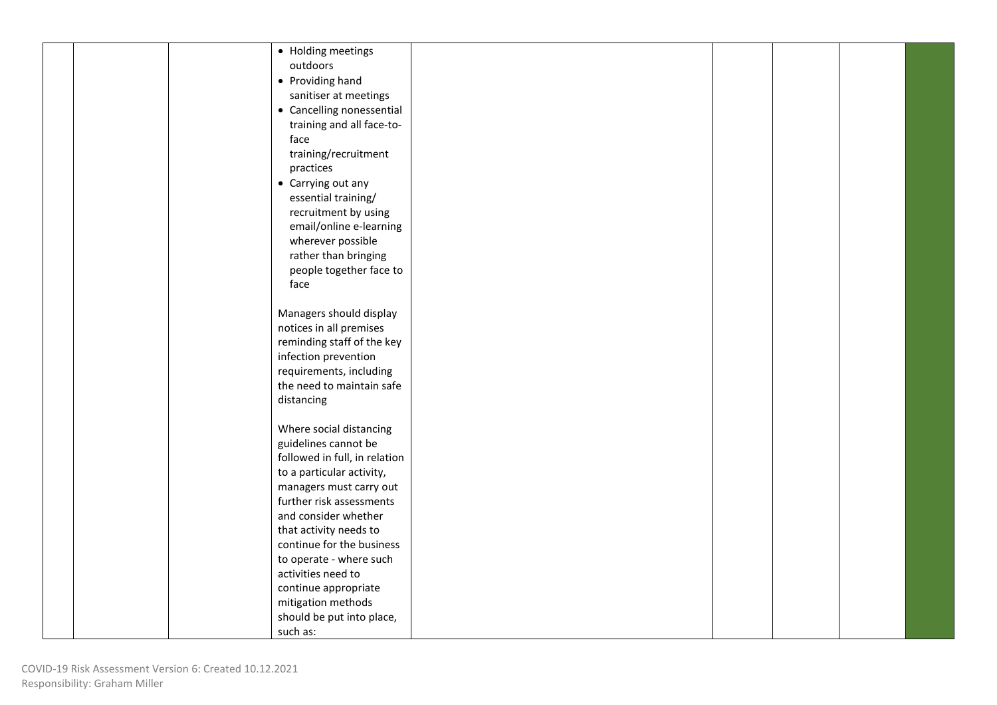|  | • Holding meetings            |  |  |  |
|--|-------------------------------|--|--|--|
|  | outdoors                      |  |  |  |
|  | • Providing hand              |  |  |  |
|  | sanitiser at meetings         |  |  |  |
|  |                               |  |  |  |
|  | • Cancelling nonessential     |  |  |  |
|  | training and all face-to-     |  |  |  |
|  | face                          |  |  |  |
|  | training/recruitment          |  |  |  |
|  | practices                     |  |  |  |
|  | • Carrying out any            |  |  |  |
|  | essential training/           |  |  |  |
|  | recruitment by using          |  |  |  |
|  | email/online e-learning       |  |  |  |
|  | wherever possible             |  |  |  |
|  | rather than bringing          |  |  |  |
|  | people together face to       |  |  |  |
|  | face                          |  |  |  |
|  |                               |  |  |  |
|  | Managers should display       |  |  |  |
|  | notices in all premises       |  |  |  |
|  | reminding staff of the key    |  |  |  |
|  | infection prevention          |  |  |  |
|  | requirements, including       |  |  |  |
|  | the need to maintain safe     |  |  |  |
|  | distancing                    |  |  |  |
|  |                               |  |  |  |
|  | Where social distancing       |  |  |  |
|  | guidelines cannot be          |  |  |  |
|  | followed in full, in relation |  |  |  |
|  | to a particular activity,     |  |  |  |
|  | managers must carry out       |  |  |  |
|  | further risk assessments      |  |  |  |
|  | and consider whether          |  |  |  |
|  | that activity needs to        |  |  |  |
|  | continue for the business     |  |  |  |
|  | to operate - where such       |  |  |  |
|  | activities need to            |  |  |  |
|  | continue appropriate          |  |  |  |
|  | mitigation methods            |  |  |  |
|  | should be put into place,     |  |  |  |
|  | such as:                      |  |  |  |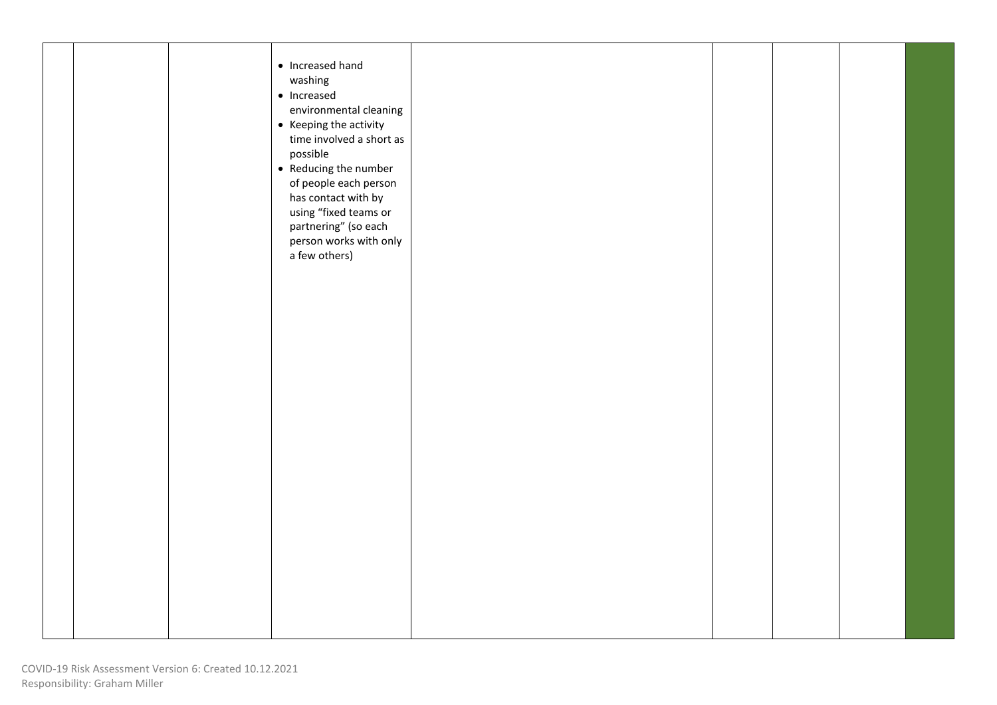|  | • Increased hand<br>washing<br>$\bullet$ Increased<br>environmental cleaning<br>• Keeping the activity<br>time involved a short as<br>possible<br>• Reducing the number<br>of people each person<br>has contact with by<br>using "fixed teams or<br>partnering" (so each<br>person works with only<br>a few others) |  |  |  |
|--|---------------------------------------------------------------------------------------------------------------------------------------------------------------------------------------------------------------------------------------------------------------------------------------------------------------------|--|--|--|
|  |                                                                                                                                                                                                                                                                                                                     |  |  |  |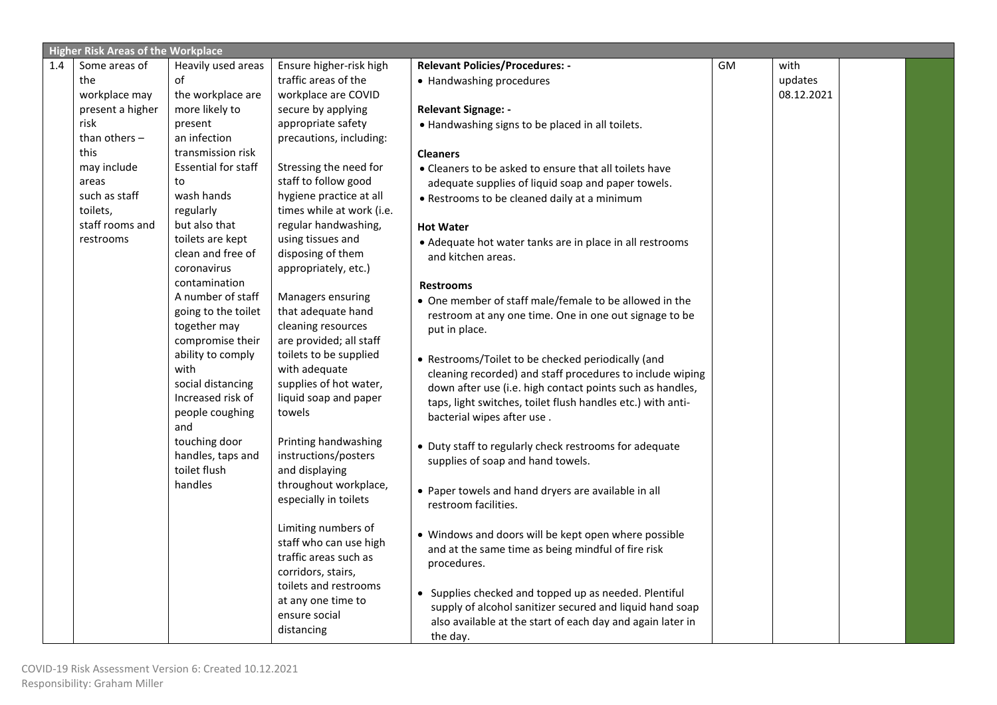|     | <b>Higher Risk Areas of the Workplace</b> |                            |                           |                                                             |    |            |  |
|-----|-------------------------------------------|----------------------------|---------------------------|-------------------------------------------------------------|----|------------|--|
| 1.4 | Some areas of                             | Heavily used areas         | Ensure higher-risk high   | <b>Relevant Policies/Procedures: -</b>                      | GM | with       |  |
|     | the                                       | of                         | traffic areas of the      | • Handwashing procedures                                    |    | updates    |  |
|     | workplace may                             | the workplace are          | workplace are COVID       |                                                             |    | 08.12.2021 |  |
|     | present a higher                          | more likely to             | secure by applying        | <b>Relevant Signage: -</b>                                  |    |            |  |
|     | risk                                      | present                    | appropriate safety        | . Handwashing signs to be placed in all toilets.            |    |            |  |
|     | than others $-$                           | an infection               | precautions, including:   |                                                             |    |            |  |
|     | this                                      | transmission risk          |                           | <b>Cleaners</b>                                             |    |            |  |
|     | may include                               | <b>Essential for staff</b> | Stressing the need for    | • Cleaners to be asked to ensure that all toilets have      |    |            |  |
|     | areas                                     | to                         | staff to follow good      | adequate supplies of liquid soap and paper towels.          |    |            |  |
|     | such as staff                             | wash hands                 | hygiene practice at all   | • Restrooms to be cleaned daily at a minimum                |    |            |  |
|     | toilets,                                  | regularly                  | times while at work (i.e. |                                                             |    |            |  |
|     | staff rooms and                           | but also that              | regular handwashing,      | <b>Hot Water</b>                                            |    |            |  |
|     | restrooms                                 | toilets are kept           | using tissues and         | • Adequate hot water tanks are in place in all restrooms    |    |            |  |
|     |                                           | clean and free of          | disposing of them         | and kitchen areas.                                          |    |            |  |
|     |                                           | coronavirus                | appropriately, etc.)      |                                                             |    |            |  |
|     |                                           | contamination              |                           | <b>Restrooms</b>                                            |    |            |  |
|     |                                           | A number of staff          | Managers ensuring         | • One member of staff male/female to be allowed in the      |    |            |  |
|     |                                           | going to the toilet        | that adequate hand        | restroom at any one time. One in one out signage to be      |    |            |  |
|     |                                           | together may               | cleaning resources        | put in place.                                               |    |            |  |
|     |                                           | compromise their           | are provided; all staff   |                                                             |    |            |  |
|     |                                           | ability to comply          | toilets to be supplied    | • Restrooms/Toilet to be checked periodically (and          |    |            |  |
|     |                                           | with                       | with adequate             | cleaning recorded) and staff procedures to include wiping   |    |            |  |
|     |                                           | social distancing          | supplies of hot water,    | down after use (i.e. high contact points such as handles,   |    |            |  |
|     |                                           | Increased risk of          | liquid soap and paper     | taps, light switches, toilet flush handles etc.) with anti- |    |            |  |
|     |                                           | people coughing            | towels                    | bacterial wipes after use.                                  |    |            |  |
|     |                                           | and                        |                           |                                                             |    |            |  |
|     |                                           | touching door              | Printing handwashing      | • Duty staff to regularly check restrooms for adequate      |    |            |  |
|     |                                           | handles, taps and          | instructions/posters      | supplies of soap and hand towels.                           |    |            |  |
|     |                                           | toilet flush               | and displaying            |                                                             |    |            |  |
|     |                                           | handles                    | throughout workplace,     | • Paper towels and hand dryers are available in all         |    |            |  |
|     |                                           |                            | especially in toilets     | restroom facilities.                                        |    |            |  |
|     |                                           |                            |                           |                                                             |    |            |  |
|     |                                           |                            | Limiting numbers of       | • Windows and doors will be kept open where possible        |    |            |  |
|     |                                           |                            | staff who can use high    | and at the same time as being mindful of fire risk          |    |            |  |
|     |                                           |                            | traffic areas such as     | procedures.                                                 |    |            |  |
|     |                                           |                            | corridors, stairs,        |                                                             |    |            |  |
|     |                                           |                            | toilets and restrooms     | • Supplies checked and topped up as needed. Plentiful       |    |            |  |
|     |                                           |                            | at any one time to        | supply of alcohol sanitizer secured and liquid hand soap    |    |            |  |
|     |                                           |                            | ensure social             | also available at the start of each day and again later in  |    |            |  |
|     |                                           |                            | distancing                | the day.                                                    |    |            |  |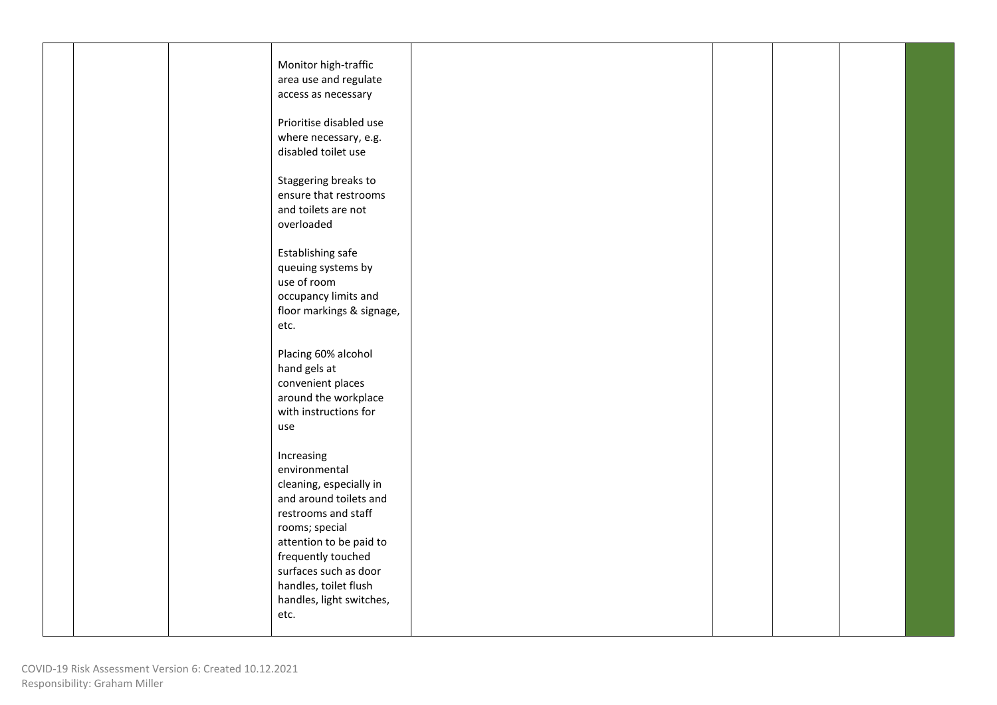|  |  | Monitor high-traffic      |  |  |  |
|--|--|---------------------------|--|--|--|
|  |  | area use and regulate     |  |  |  |
|  |  | access as necessary       |  |  |  |
|  |  |                           |  |  |  |
|  |  | Prioritise disabled use   |  |  |  |
|  |  | where necessary, e.g.     |  |  |  |
|  |  | disabled toilet use       |  |  |  |
|  |  |                           |  |  |  |
|  |  | Staggering breaks to      |  |  |  |
|  |  | ensure that restrooms     |  |  |  |
|  |  | and toilets are not       |  |  |  |
|  |  | overloaded                |  |  |  |
|  |  |                           |  |  |  |
|  |  | Establishing safe         |  |  |  |
|  |  | queuing systems by        |  |  |  |
|  |  | use of room               |  |  |  |
|  |  | occupancy limits and      |  |  |  |
|  |  | floor markings & signage, |  |  |  |
|  |  | etc.                      |  |  |  |
|  |  |                           |  |  |  |
|  |  | Placing 60% alcohol       |  |  |  |
|  |  | hand gels at              |  |  |  |
|  |  | convenient places         |  |  |  |
|  |  | around the workplace      |  |  |  |
|  |  | with instructions for     |  |  |  |
|  |  | use                       |  |  |  |
|  |  |                           |  |  |  |
|  |  | Increasing                |  |  |  |
|  |  | environmental             |  |  |  |
|  |  | cleaning, especially in   |  |  |  |
|  |  | and around toilets and    |  |  |  |
|  |  | restrooms and staff       |  |  |  |
|  |  | rooms; special            |  |  |  |
|  |  | attention to be paid to   |  |  |  |
|  |  | frequently touched        |  |  |  |
|  |  | surfaces such as door     |  |  |  |
|  |  | handles, toilet flush     |  |  |  |
|  |  | handles, light switches,  |  |  |  |
|  |  | etc.                      |  |  |  |
|  |  |                           |  |  |  |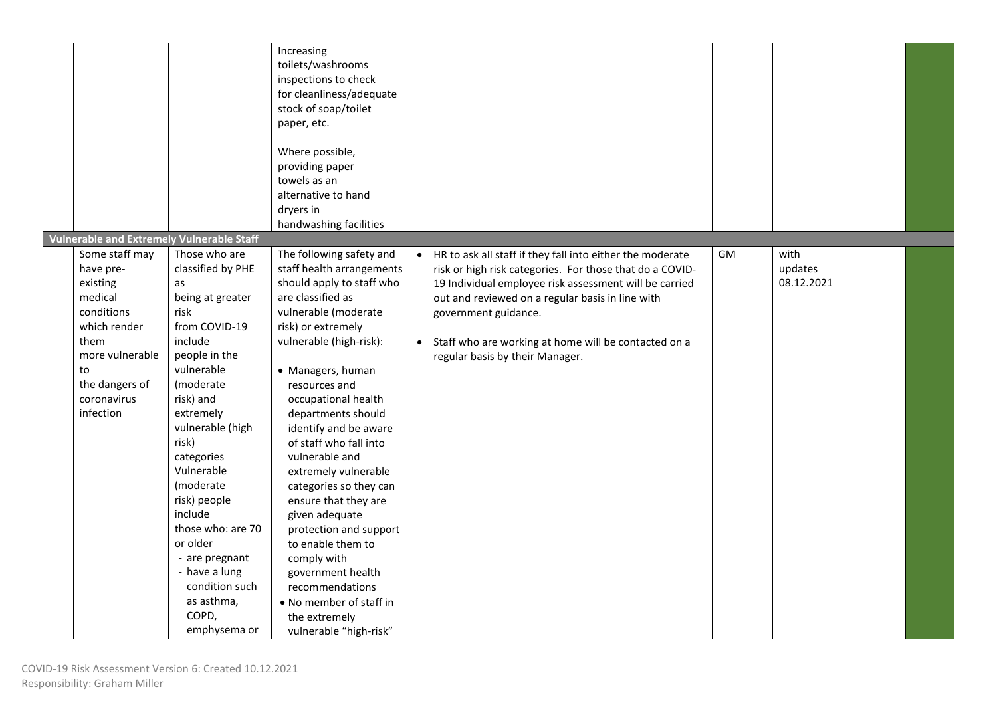| <b>Vulnerable and Extremely Vulnerable Staff</b>                                                                                                                                       |                                                                                                                                                                                                                                                                                                                                                                               | Increasing<br>toilets/washrooms<br>inspections to check<br>for cleanliness/adequate<br>stock of soap/toilet<br>paper, etc.<br>Where possible,<br>providing paper<br>towels as an<br>alternative to hand<br>dryers in<br>handwashing facilities                                                                                                                                                                                                                                                                                                                                                                   |           |                                                                                                                                                                                                                                                                                                                                                        |    |                               |  |
|----------------------------------------------------------------------------------------------------------------------------------------------------------------------------------------|-------------------------------------------------------------------------------------------------------------------------------------------------------------------------------------------------------------------------------------------------------------------------------------------------------------------------------------------------------------------------------|------------------------------------------------------------------------------------------------------------------------------------------------------------------------------------------------------------------------------------------------------------------------------------------------------------------------------------------------------------------------------------------------------------------------------------------------------------------------------------------------------------------------------------------------------------------------------------------------------------------|-----------|--------------------------------------------------------------------------------------------------------------------------------------------------------------------------------------------------------------------------------------------------------------------------------------------------------------------------------------------------------|----|-------------------------------|--|
| Some staff may<br>have pre-<br>existing<br>as<br>medical<br>conditions<br>risk<br>which render<br>them<br>more vulnerable<br>to<br>the dangers of<br>coronavirus<br>infection<br>risk) | Those who are<br>classified by PHE<br>being at greater<br>from COVID-19<br>include<br>people in the<br>vulnerable<br>(moderate<br>risk) and<br>extremely<br>vulnerable (high<br>categories<br>Vulnerable<br>(moderate<br>risk) people<br>include<br>those who: are 70<br>or older<br>- are pregnant<br>- have a lung<br>condition such<br>as asthma,<br>COPD,<br>emphysema or | The following safety and<br>staff health arrangements<br>should apply to staff who<br>are classified as<br>vulnerable (moderate<br>risk) or extremely<br>vulnerable (high-risk):<br>• Managers, human<br>resources and<br>occupational health<br>departments should<br>identify and be aware<br>of staff who fall into<br>vulnerable and<br>extremely vulnerable<br>categories so they can<br>ensure that they are<br>given adequate<br>protection and support<br>to enable them to<br>comply with<br>government health<br>recommendations<br>• No member of staff in<br>the extremely<br>vulnerable "high-risk" | $\bullet$ | HR to ask all staff if they fall into either the moderate<br>risk or high risk categories. For those that do a COVID-<br>19 Individual employee risk assessment will be carried<br>out and reviewed on a regular basis in line with<br>government guidance.<br>Staff who are working at home will be contacted on a<br>regular basis by their Manager. | GM | with<br>updates<br>08.12.2021 |  |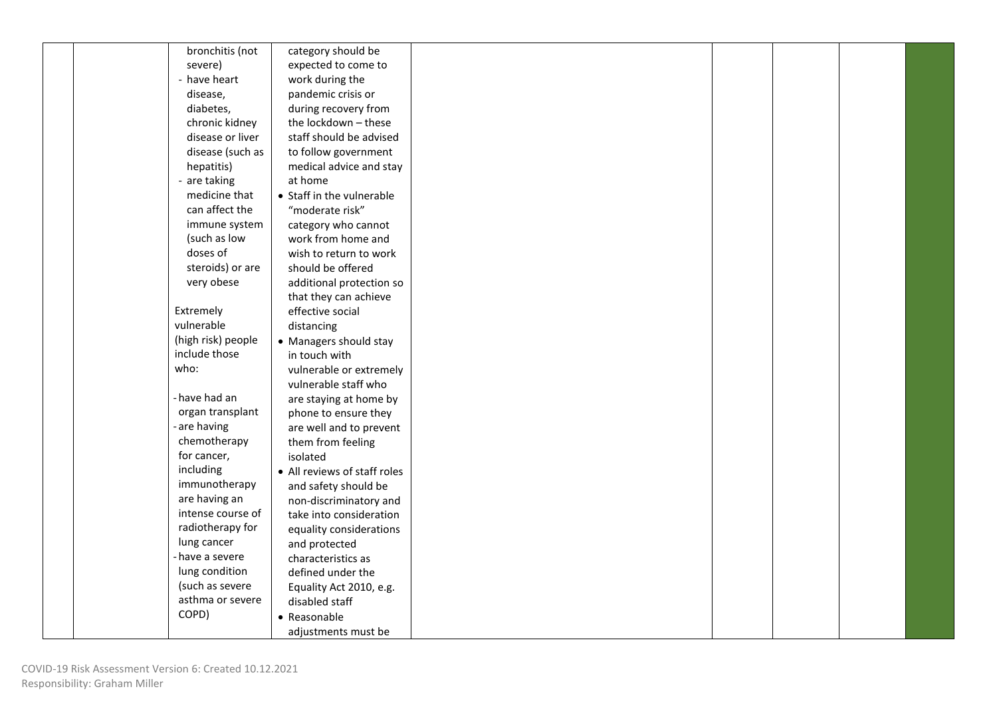| bronchitis (not    |                              |
|--------------------|------------------------------|
|                    | category should be           |
| severe)            | expected to come to          |
| - have heart       | work during the              |
| disease,           | pandemic crisis or           |
| diabetes,          | during recovery from         |
| chronic kidney     | the lockdown - these         |
| disease or liver   | staff should be advised      |
| disease (such as   | to follow government         |
| hepatitis)         | medical advice and stay      |
| - are taking       | at home                      |
| medicine that      | • Staff in the vulnerable    |
| can affect the     |                              |
|                    | "moderate risk"              |
| immune system      | category who cannot          |
| (such as low       | work from home and           |
| doses of           | wish to return to work       |
| steroids) or are   | should be offered            |
| very obese         | additional protection so     |
|                    | that they can achieve        |
| Extremely          | effective social             |
| vulnerable         | distancing                   |
| (high risk) people | • Managers should stay       |
| include those      | in touch with                |
| who:               | vulnerable or extremely      |
|                    | vulnerable staff who         |
| - have had an      |                              |
|                    | are staying at home by       |
| organ transplant   | phone to ensure they         |
| - are having       | are well and to prevent      |
| chemotherapy       | them from feeling            |
| for cancer,        | isolated                     |
| including          | • All reviews of staff roles |
| immunotherapy      | and safety should be         |
| are having an      | non-discriminatory and       |
| intense course of  | take into consideration      |
| radiotherapy for   | equality considerations      |
| lung cancer        | and protected                |
| - have a severe    | characteristics as           |
| lung condition     | defined under the            |
| (such as severe    |                              |
| asthma or severe   | Equality Act 2010, e.g.      |
|                    | disabled staff               |
| COPD)              | • Reasonable                 |
|                    | adjustments must be          |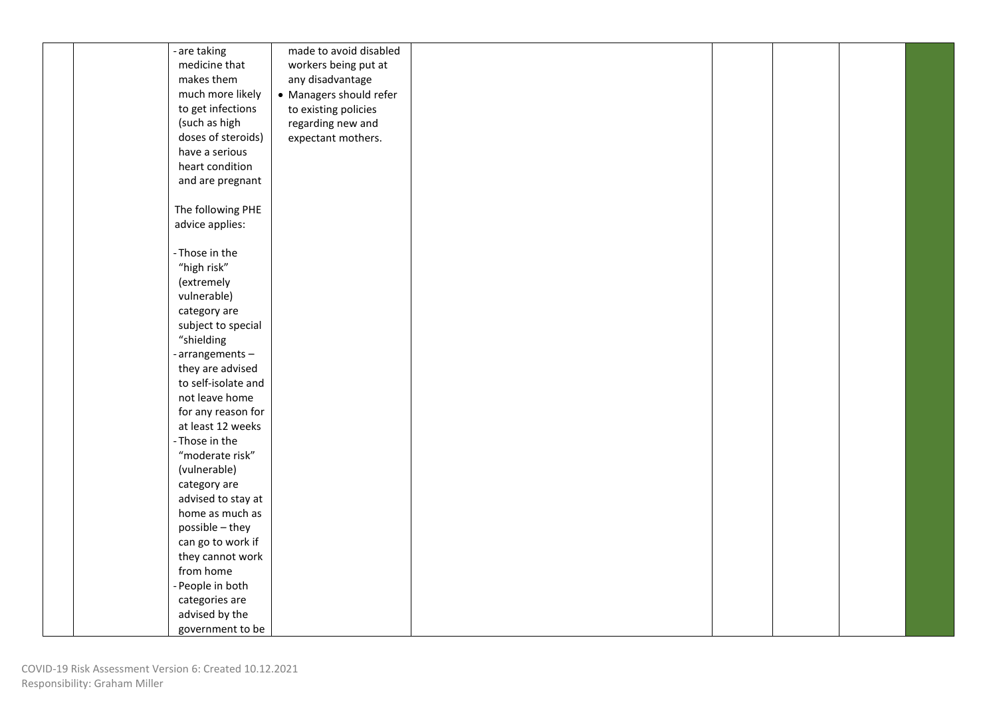| - are taking        | made to avoid disabled  |  |  |  |
|---------------------|-------------------------|--|--|--|
| medicine that       | workers being put at    |  |  |  |
| makes them          | any disadvantage        |  |  |  |
| much more likely    | • Managers should refer |  |  |  |
| to get infections   | to existing policies    |  |  |  |
| (such as high       | regarding new and       |  |  |  |
| doses of steroids)  | expectant mothers.      |  |  |  |
| have a serious      |                         |  |  |  |
| heart condition     |                         |  |  |  |
| and are pregnant    |                         |  |  |  |
|                     |                         |  |  |  |
| The following PHE   |                         |  |  |  |
| advice applies:     |                         |  |  |  |
|                     |                         |  |  |  |
| - Those in the      |                         |  |  |  |
| "high risk"         |                         |  |  |  |
| (extremely          |                         |  |  |  |
| vulnerable)         |                         |  |  |  |
| category are        |                         |  |  |  |
| subject to special  |                         |  |  |  |
| "shielding          |                         |  |  |  |
| -arrangements-      |                         |  |  |  |
| they are advised    |                         |  |  |  |
| to self-isolate and |                         |  |  |  |
| not leave home      |                         |  |  |  |
| for any reason for  |                         |  |  |  |
| at least 12 weeks   |                         |  |  |  |
| - Those in the      |                         |  |  |  |
| "moderate risk"     |                         |  |  |  |
| (vulnerable)        |                         |  |  |  |
| category are        |                         |  |  |  |
| advised to stay at  |                         |  |  |  |
| home as much as     |                         |  |  |  |
| possible - they     |                         |  |  |  |
| can go to work if   |                         |  |  |  |
| they cannot work    |                         |  |  |  |
| from home           |                         |  |  |  |
| - People in both    |                         |  |  |  |
| categories are      |                         |  |  |  |
| advised by the      |                         |  |  |  |
| government to be    |                         |  |  |  |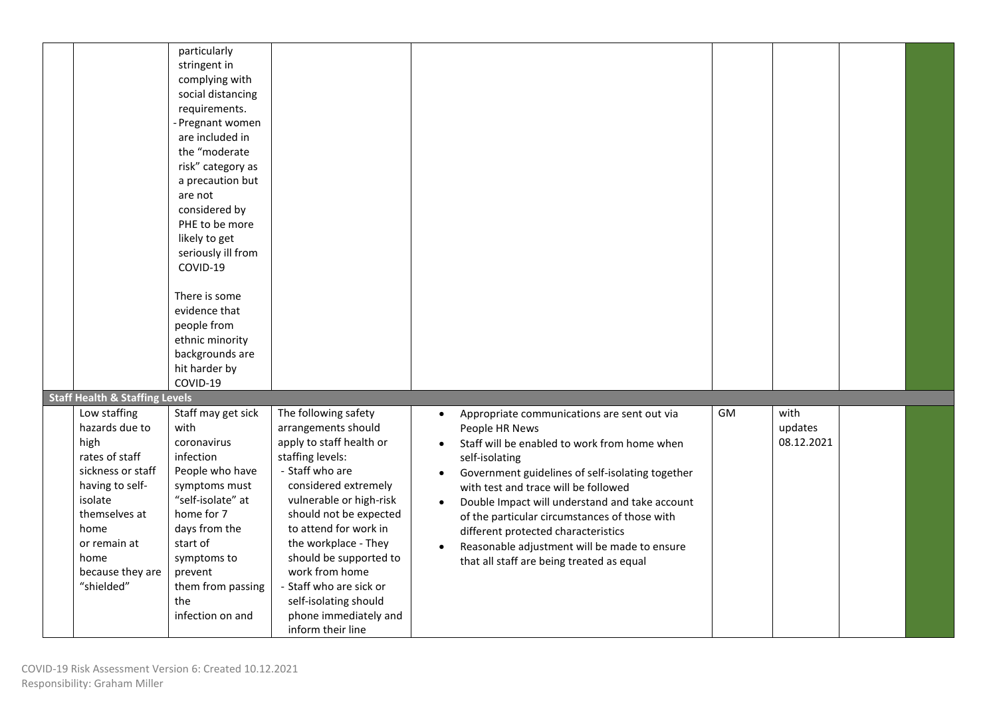|                                                                                                                                                                                                | particularly<br>stringent in<br>complying with<br>social distancing<br>requirements.<br>- Pregnant women<br>are included in<br>the "moderate<br>risk" category as<br>a precaution but<br>are not<br>considered by<br>PHE to be more<br>likely to get<br>seriously ill from<br>COVID-19<br>There is some<br>evidence that<br>people from<br>ethnic minority<br>backgrounds are<br>hit harder by<br>COVID-19 |                                                                                                                                                                                                                                                                                                                                                                                            |                                                                                                                                                                                                                                                                                                                                                                                                                                                                                                                                                               |  |
|------------------------------------------------------------------------------------------------------------------------------------------------------------------------------------------------|------------------------------------------------------------------------------------------------------------------------------------------------------------------------------------------------------------------------------------------------------------------------------------------------------------------------------------------------------------------------------------------------------------|--------------------------------------------------------------------------------------------------------------------------------------------------------------------------------------------------------------------------------------------------------------------------------------------------------------------------------------------------------------------------------------------|---------------------------------------------------------------------------------------------------------------------------------------------------------------------------------------------------------------------------------------------------------------------------------------------------------------------------------------------------------------------------------------------------------------------------------------------------------------------------------------------------------------------------------------------------------------|--|
| <b>Staff Health &amp; Staffing Levels</b>                                                                                                                                                      |                                                                                                                                                                                                                                                                                                                                                                                                            |                                                                                                                                                                                                                                                                                                                                                                                            |                                                                                                                                                                                                                                                                                                                                                                                                                                                                                                                                                               |  |
| Low staffing<br>hazards due to<br>high<br>rates of staff<br>sickness or staff<br>having to self-<br>isolate<br>themselves at<br>home<br>or remain at<br>home<br>because they are<br>"shielded" | Staff may get sick<br>with<br>coronavirus<br>infection<br>People who have<br>symptoms must<br>"self-isolate" at<br>home for 7<br>days from the<br>start of<br>symptoms to<br>prevent<br>them from passing<br>the<br>infection on and                                                                                                                                                                       | The following safety<br>arrangements should<br>apply to staff health or<br>staffing levels:<br>- Staff who are<br>considered extremely<br>vulnerable or high-risk<br>should not be expected<br>to attend for work in<br>the workplace - They<br>should be supported to<br>work from home<br>- Staff who are sick or<br>self-isolating should<br>phone immediately and<br>inform their line | GM<br>with<br>Appropriate communications are sent out via<br>$\bullet$<br>updates<br>People HR News<br>08.12.2021<br>Staff will be enabled to work from home when<br>$\bullet$<br>self-isolating<br>Government guidelines of self-isolating together<br>$\bullet$<br>with test and trace will be followed<br>Double Impact will understand and take account<br>of the particular circumstances of those with<br>different protected characteristics<br>Reasonable adjustment will be made to ensure<br>$\bullet$<br>that all staff are being treated as equal |  |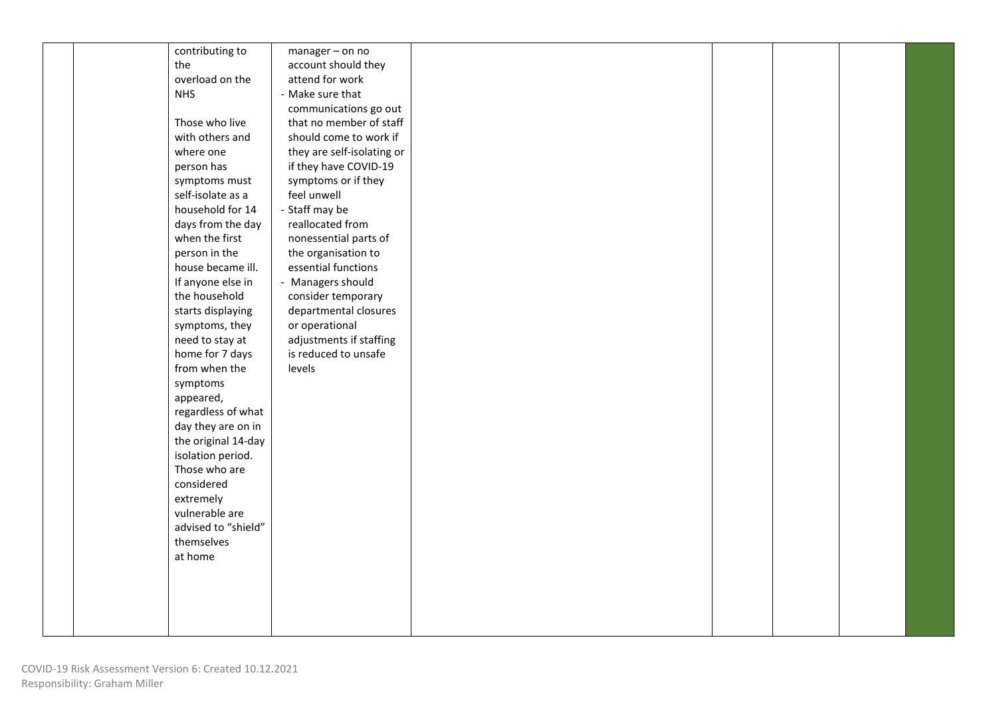|  | contributing to     | $m$ anager – on no         |  |  |  |
|--|---------------------|----------------------------|--|--|--|
|  | the                 | account should they        |  |  |  |
|  | overload on the     | attend for work            |  |  |  |
|  | <b>NHS</b>          | - Make sure that           |  |  |  |
|  |                     | communications go out      |  |  |  |
|  | Those who live      | that no member of staff    |  |  |  |
|  | with others and     | should come to work if     |  |  |  |
|  | where one           | they are self-isolating or |  |  |  |
|  | person has          | if they have COVID-19      |  |  |  |
|  | symptoms must       | symptoms or if they        |  |  |  |
|  | self-isolate as a   | feel unwell                |  |  |  |
|  | household for 14    | - Staff may be             |  |  |  |
|  | days from the day   | reallocated from           |  |  |  |
|  | when the first      | nonessential parts of      |  |  |  |
|  | person in the       | the organisation to        |  |  |  |
|  | house became ill.   | essential functions        |  |  |  |
|  | If anyone else in   | - Managers should          |  |  |  |
|  | the household       | consider temporary         |  |  |  |
|  | starts displaying   | departmental closures      |  |  |  |
|  | symptoms, they      | or operational             |  |  |  |
|  | need to stay at     | adjustments if staffing    |  |  |  |
|  | home for 7 days     | is reduced to unsafe       |  |  |  |
|  | from when the       | levels                     |  |  |  |
|  | symptoms            |                            |  |  |  |
|  | appeared,           |                            |  |  |  |
|  | regardless of what  |                            |  |  |  |
|  | day they are on in  |                            |  |  |  |
|  | the original 14-day |                            |  |  |  |
|  | isolation period.   |                            |  |  |  |
|  | Those who are       |                            |  |  |  |
|  | considered          |                            |  |  |  |
|  | extremely           |                            |  |  |  |
|  | vulnerable are      |                            |  |  |  |
|  | advised to "shield" |                            |  |  |  |
|  | themselves          |                            |  |  |  |
|  | at home             |                            |  |  |  |
|  |                     |                            |  |  |  |
|  |                     |                            |  |  |  |
|  |                     |                            |  |  |  |
|  |                     |                            |  |  |  |
|  |                     |                            |  |  |  |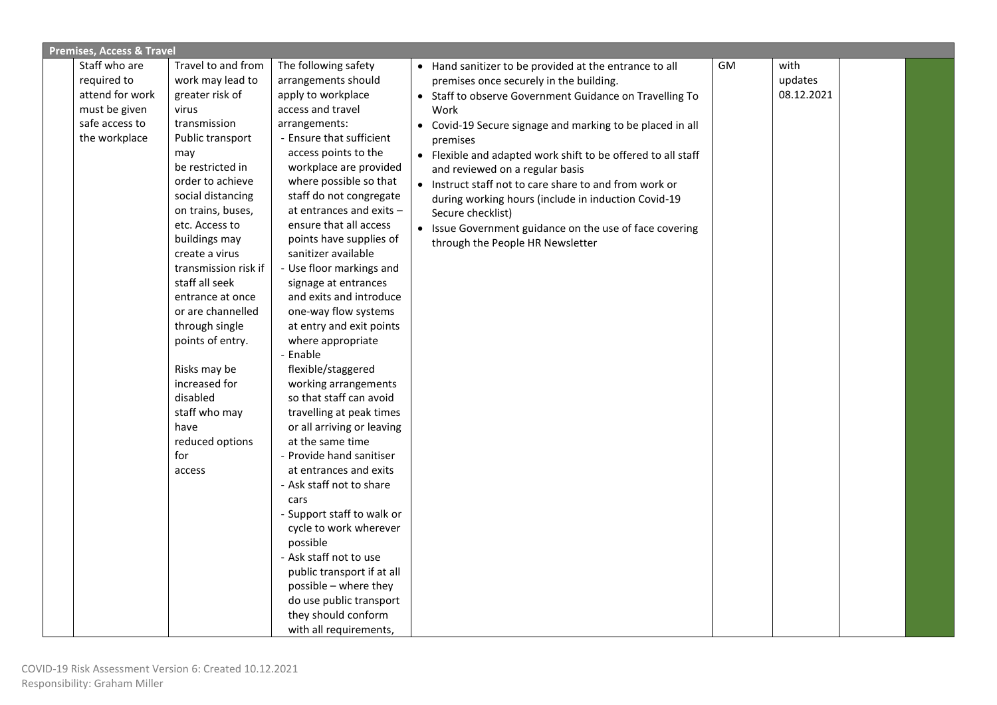| <b>Premises, Access &amp; Travel</b> |                      |                                                    |                                                                      |           |            |  |
|--------------------------------------|----------------------|----------------------------------------------------|----------------------------------------------------------------------|-----------|------------|--|
| Staff who are                        | Travel to and from   | The following safety                               | • Hand sanitizer to be provided at the entrance to all               | <b>GM</b> | with       |  |
| required to                          | work may lead to     | arrangements should                                | premises once securely in the building.                              |           | updates    |  |
| attend for work                      | greater risk of      | apply to workplace                                 | • Staff to observe Government Guidance on Travelling To              |           | 08.12.2021 |  |
| must be given                        | virus                | access and travel                                  | Work                                                                 |           |            |  |
| safe access to                       | transmission         | arrangements:                                      | Covid-19 Secure signage and marking to be placed in all<br>$\bullet$ |           |            |  |
| the workplace                        | Public transport     | - Ensure that sufficient                           | premises                                                             |           |            |  |
|                                      | may                  | access points to the                               | • Flexible and adapted work shift to be offered to all staff         |           |            |  |
|                                      | be restricted in     | workplace are provided                             | and reviewed on a regular basis                                      |           |            |  |
|                                      | order to achieve     | where possible so that                             | • Instruct staff not to care share to and from work or               |           |            |  |
|                                      | social distancing    | staff do not congregate                            | during working hours (include in induction Covid-19                  |           |            |  |
|                                      | on trains, buses,    | at entrances and exits -                           | Secure checklist)                                                    |           |            |  |
|                                      | etc. Access to       | ensure that all access                             | • Issue Government guidance on the use of face covering              |           |            |  |
|                                      | buildings may        | points have supplies of                            | through the People HR Newsletter                                     |           |            |  |
|                                      | create a virus       | sanitizer available                                |                                                                      |           |            |  |
|                                      | transmission risk if | - Use floor markings and                           |                                                                      |           |            |  |
|                                      | staff all seek       | signage at entrances                               |                                                                      |           |            |  |
|                                      | entrance at once     | and exits and introduce                            |                                                                      |           |            |  |
|                                      | or are channelled    | one-way flow systems                               |                                                                      |           |            |  |
|                                      | through single       | at entry and exit points                           |                                                                      |           |            |  |
|                                      | points of entry.     | where appropriate                                  |                                                                      |           |            |  |
|                                      |                      | - Enable                                           |                                                                      |           |            |  |
|                                      | Risks may be         | flexible/staggered                                 |                                                                      |           |            |  |
|                                      | increased for        | working arrangements                               |                                                                      |           |            |  |
|                                      | disabled             | so that staff can avoid                            |                                                                      |           |            |  |
|                                      | staff who may        | travelling at peak times                           |                                                                      |           |            |  |
|                                      | have                 | or all arriving or leaving                         |                                                                      |           |            |  |
|                                      | reduced options      | at the same time                                   |                                                                      |           |            |  |
|                                      | for                  | - Provide hand sanitiser                           |                                                                      |           |            |  |
|                                      | access               | at entrances and exits<br>- Ask staff not to share |                                                                      |           |            |  |
|                                      |                      |                                                    |                                                                      |           |            |  |
|                                      |                      | cars<br>- Support staff to walk or                 |                                                                      |           |            |  |
|                                      |                      | cycle to work wherever                             |                                                                      |           |            |  |
|                                      |                      | possible                                           |                                                                      |           |            |  |
|                                      |                      | - Ask staff not to use                             |                                                                      |           |            |  |
|                                      |                      | public transport if at all                         |                                                                      |           |            |  |
|                                      |                      | possible - where they                              |                                                                      |           |            |  |
|                                      |                      | do use public transport                            |                                                                      |           |            |  |
|                                      |                      | they should conform                                |                                                                      |           |            |  |
|                                      |                      | with all requirements,                             |                                                                      |           |            |  |
|                                      |                      |                                                    |                                                                      |           |            |  |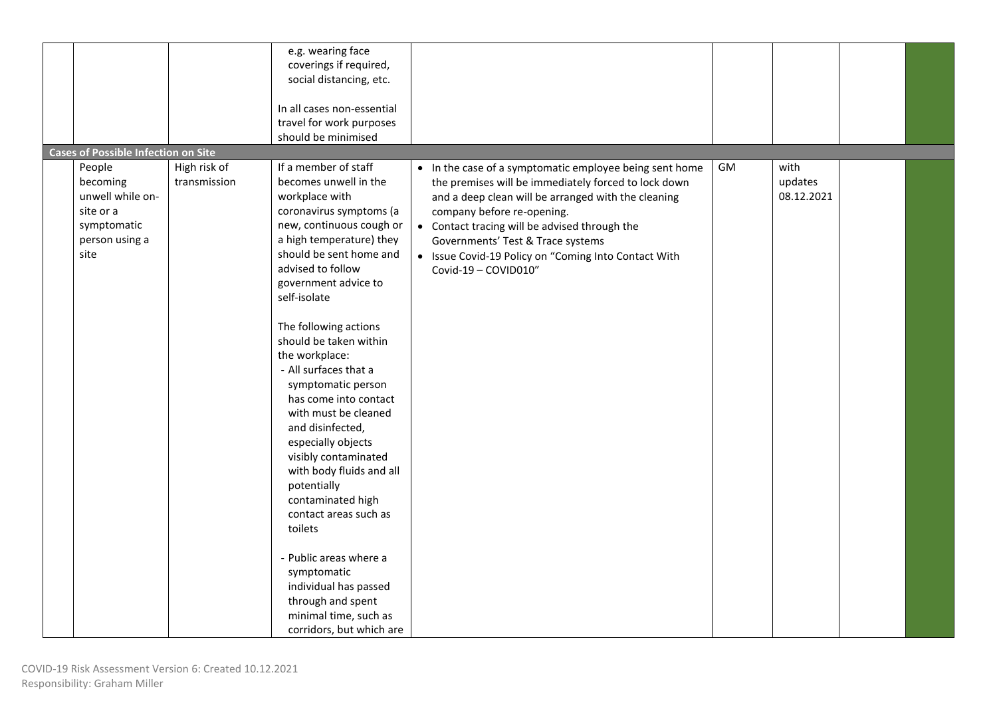|                                                                                                                                            |                              | e.g. wearing face<br>coverings if required,<br>social distancing, etc.<br>In all cases non-essential<br>travel for work purposes<br>should be minimised                                                                                                                                                                                                                                                                                                                                                                                                                                                                                                                                                                           |                                                                                                                                                                                                                                                                                                                                                                            |    |                               |  |
|--------------------------------------------------------------------------------------------------------------------------------------------|------------------------------|-----------------------------------------------------------------------------------------------------------------------------------------------------------------------------------------------------------------------------------------------------------------------------------------------------------------------------------------------------------------------------------------------------------------------------------------------------------------------------------------------------------------------------------------------------------------------------------------------------------------------------------------------------------------------------------------------------------------------------------|----------------------------------------------------------------------------------------------------------------------------------------------------------------------------------------------------------------------------------------------------------------------------------------------------------------------------------------------------------------------------|----|-------------------------------|--|
| <b>Cases of Possible Infection on Site</b><br>People<br>becoming<br>unwell while on-<br>site or a<br>symptomatic<br>person using a<br>site | High risk of<br>transmission | If a member of staff<br>becomes unwell in the<br>workplace with<br>coronavirus symptoms (a<br>new, continuous cough or<br>a high temperature) they<br>should be sent home and<br>advised to follow<br>government advice to<br>self-isolate<br>The following actions<br>should be taken within<br>the workplace:<br>- All surfaces that a<br>symptomatic person<br>has come into contact<br>with must be cleaned<br>and disinfected,<br>especially objects<br>visibly contaminated<br>with body fluids and all<br>potentially<br>contaminated high<br>contact areas such as<br>toilets<br>- Public areas where a<br>symptomatic<br>individual has passed<br>through and spent<br>minimal time, such as<br>corridors, but which are | • In the case of a symptomatic employee being sent home<br>the premises will be immediately forced to lock down<br>and a deep clean will be arranged with the cleaning<br>company before re-opening.<br>• Contact tracing will be advised through the<br>Governments' Test & Trace systems<br>• Issue Covid-19 Policy on "Coming Into Contact With<br>Covid-19 - COVID010" | GM | with<br>updates<br>08.12.2021 |  |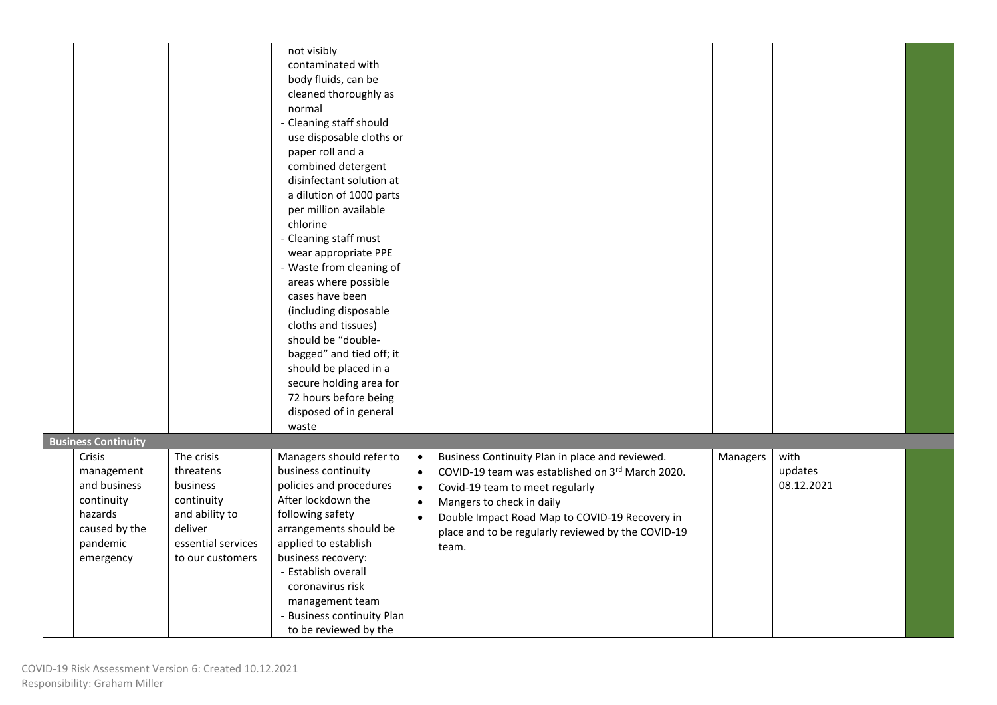|                                          |                                        | not visibly<br>contaminated with<br>body fluids, can be<br>cleaned thoroughly as<br>normal<br>- Cleaning staff should<br>use disposable cloths or<br>paper roll and a |                                                                                                                                                                                  |  |
|------------------------------------------|----------------------------------------|-----------------------------------------------------------------------------------------------------------------------------------------------------------------------|----------------------------------------------------------------------------------------------------------------------------------------------------------------------------------|--|
|                                          |                                        | combined detergent<br>disinfectant solution at<br>a dilution of 1000 parts<br>per million available<br>chlorine<br>- Cleaning staff must                              |                                                                                                                                                                                  |  |
|                                          |                                        | wear appropriate PPE<br>- Waste from cleaning of<br>areas where possible<br>cases have been<br>(including disposable                                                  |                                                                                                                                                                                  |  |
|                                          |                                        | cloths and tissues)<br>should be "double-<br>bagged" and tied off; it<br>should be placed in a<br>secure holding area for<br>72 hours before being                    |                                                                                                                                                                                  |  |
|                                          |                                        | disposed of in general<br>waste                                                                                                                                       |                                                                                                                                                                                  |  |
| <b>Business Continuity</b>               |                                        |                                                                                                                                                                       |                                                                                                                                                                                  |  |
| Crisis                                   | The crisis                             | Managers should refer to                                                                                                                                              | with<br>Business Continuity Plan in place and reviewed.<br>Managers<br>$\bullet$                                                                                                 |  |
| management<br>and business<br>continuity | threatens<br>business<br>continuity    | business continuity<br>policies and procedures<br>After lockdown the                                                                                                  | COVID-19 team was established on 3rd March 2020.<br>updates<br>$\bullet$<br>08.12.2021<br>Covid-19 team to meet regularly<br>$\bullet$<br>Mangers to check in daily<br>$\bullet$ |  |
| hazards<br>caused by the                 | and ability to<br>deliver              | following safety<br>arrangements should be                                                                                                                            | Double Impact Road Map to COVID-19 Recovery in<br>$\bullet$<br>place and to be regularly reviewed by the COVID-19                                                                |  |
| pandemic<br>emergency                    | essential services<br>to our customers | applied to establish<br>business recovery:<br>- Establish overall<br>coronavirus risk<br>management team<br><b>Business continuity Plan</b>                           | team.                                                                                                                                                                            |  |
|                                          |                                        | to be reviewed by the                                                                                                                                                 |                                                                                                                                                                                  |  |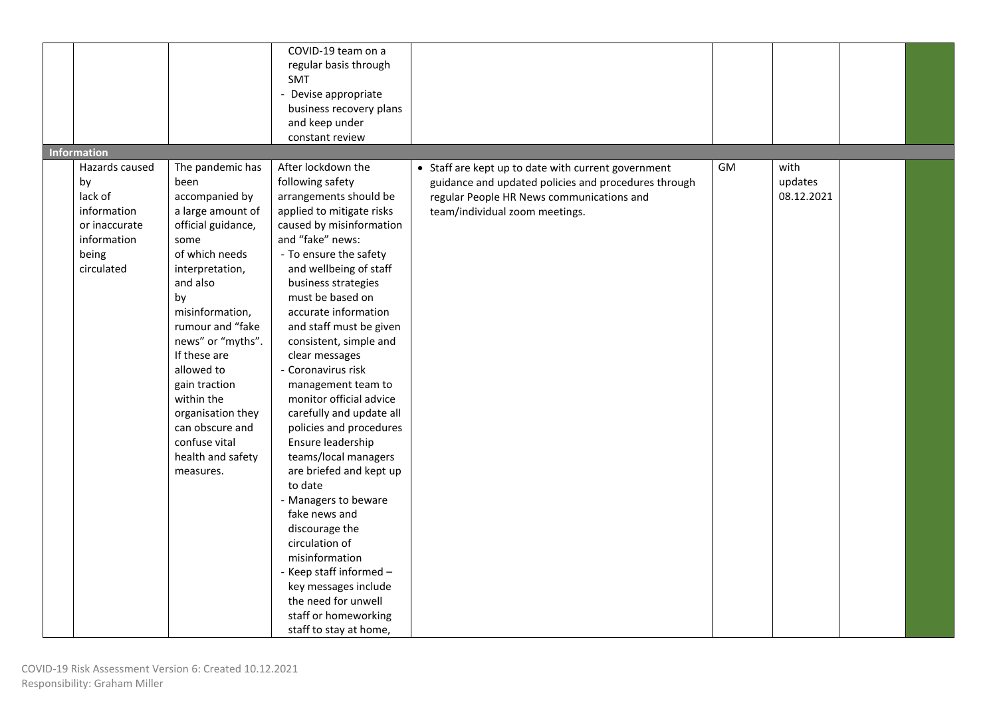| <b>Information</b>                                                                                    |                                                                                                                                                                                                                                                                                                                                                                          | COVID-19 team on a<br>regular basis through<br><b>SMT</b><br>- Devise appropriate<br>business recovery plans<br>and keep under<br>constant review                                                                                                                                                                                                                                                                                                                                                                                                                                                                                                                                                                                                                                       |                                                                                                                                                                                            |    |                               |  |
|-------------------------------------------------------------------------------------------------------|--------------------------------------------------------------------------------------------------------------------------------------------------------------------------------------------------------------------------------------------------------------------------------------------------------------------------------------------------------------------------|-----------------------------------------------------------------------------------------------------------------------------------------------------------------------------------------------------------------------------------------------------------------------------------------------------------------------------------------------------------------------------------------------------------------------------------------------------------------------------------------------------------------------------------------------------------------------------------------------------------------------------------------------------------------------------------------------------------------------------------------------------------------------------------------|--------------------------------------------------------------------------------------------------------------------------------------------------------------------------------------------|----|-------------------------------|--|
| Hazards caused<br>by<br>lack of<br>information<br>or inaccurate<br>information<br>being<br>circulated | The pandemic has<br>been<br>accompanied by<br>a large amount of<br>official guidance,<br>some<br>of which needs<br>interpretation,<br>and also<br>by<br>misinformation,<br>rumour and "fake<br>news" or "myths".<br>If these are<br>allowed to<br>gain traction<br>within the<br>organisation they<br>can obscure and<br>confuse vital<br>health and safety<br>measures. | After lockdown the<br>following safety<br>arrangements should be<br>applied to mitigate risks<br>caused by misinformation<br>and "fake" news:<br>- To ensure the safety<br>and wellbeing of staff<br>business strategies<br>must be based on<br>accurate information<br>and staff must be given<br>consistent, simple and<br>clear messages<br>- Coronavirus risk<br>management team to<br>monitor official advice<br>carefully and update all<br>policies and procedures<br>Ensure leadership<br>teams/local managers<br>are briefed and kept up<br>to date<br>- Managers to beware<br>fake news and<br>discourage the<br>circulation of<br>misinformation<br>- Keep staff informed -<br>key messages include<br>the need for unwell<br>staff or homeworking<br>staff to stay at home, | • Staff are kept up to date with current government<br>guidance and updated policies and procedures through<br>regular People HR News communications and<br>team/individual zoom meetings. | GM | with<br>updates<br>08.12.2021 |  |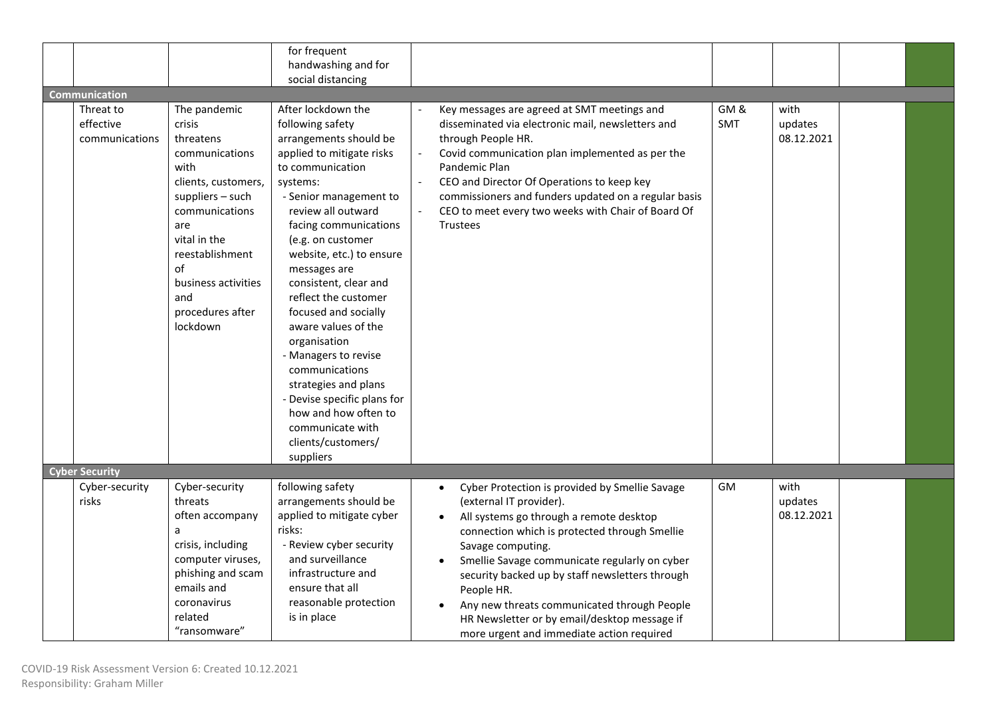|                       |                     | for frequent                |          |                                                             |     |            |  |
|-----------------------|---------------------|-----------------------------|----------|-------------------------------------------------------------|-----|------------|--|
|                       |                     | handwashing and for         |          |                                                             |     |            |  |
|                       |                     | social distancing           |          |                                                             |     |            |  |
|                       |                     |                             |          |                                                             |     |            |  |
| <b>Communication</b>  |                     |                             |          |                                                             |     |            |  |
| Threat to             | The pandemic        | After lockdown the          |          | Key messages are agreed at SMT meetings and                 | GM& | with       |  |
| effective             | crisis              | following safety            |          | disseminated via electronic mail, newsletters and           | SMT | updates    |  |
| communications        | threatens           | arrangements should be      |          | through People HR.                                          |     | 08.12.2021 |  |
|                       | communications      | applied to mitigate risks   |          | Covid communication plan implemented as per the             |     |            |  |
|                       | with                | to communication            |          | Pandemic Plan                                               |     |            |  |
|                       | clients, customers, | systems:                    | $\omega$ | CEO and Director Of Operations to keep key                  |     |            |  |
|                       | suppliers - such    | - Senior management to      |          | commissioners and funders updated on a regular basis        |     |            |  |
|                       | communications      | review all outward          |          | CEO to meet every two weeks with Chair of Board Of          |     |            |  |
|                       | are                 | facing communications       |          | <b>Trustees</b>                                             |     |            |  |
|                       | vital in the        | (e.g. on customer           |          |                                                             |     |            |  |
|                       | reestablishment     | website, etc.) to ensure    |          |                                                             |     |            |  |
|                       | of                  | messages are                |          |                                                             |     |            |  |
|                       | business activities | consistent, clear and       |          |                                                             |     |            |  |
|                       | and                 | reflect the customer        |          |                                                             |     |            |  |
|                       | procedures after    | focused and socially        |          |                                                             |     |            |  |
|                       | lockdown            | aware values of the         |          |                                                             |     |            |  |
|                       |                     | organisation                |          |                                                             |     |            |  |
|                       |                     | - Managers to revise        |          |                                                             |     |            |  |
|                       |                     | communications              |          |                                                             |     |            |  |
|                       |                     | strategies and plans        |          |                                                             |     |            |  |
|                       |                     | - Devise specific plans for |          |                                                             |     |            |  |
|                       |                     |                             |          |                                                             |     |            |  |
|                       |                     | how and how often to        |          |                                                             |     |            |  |
|                       |                     | communicate with            |          |                                                             |     |            |  |
|                       |                     | clients/customers/          |          |                                                             |     |            |  |
|                       |                     | suppliers                   |          |                                                             |     |            |  |
| <b>Cyber Security</b> |                     |                             |          |                                                             |     |            |  |
| Cyber-security        | Cyber-security      | following safety            |          | Cyber Protection is provided by Smellie Savage<br>$\bullet$ | GM  | with       |  |
| risks                 | threats             | arrangements should be      |          | (external IT provider).                                     |     | updates    |  |
|                       | often accompany     | applied to mitigate cyber   |          | All systems go through a remote desktop<br>$\bullet$        |     | 08.12.2021 |  |
|                       | a                   | risks:                      |          | connection which is protected through Smellie               |     |            |  |
|                       | crisis, including   | - Review cyber security     |          | Savage computing.                                           |     |            |  |
|                       | computer viruses,   | and surveillance            |          | Smellie Savage communicate regularly on cyber               |     |            |  |
|                       | phishing and scam   | infrastructure and          |          | security backed up by staff newsletters through             |     |            |  |
|                       | emails and          | ensure that all             |          | People HR.                                                  |     |            |  |
|                       | coronavirus         | reasonable protection       |          | Any new threats communicated through People                 |     |            |  |
|                       |                     |                             |          |                                                             |     |            |  |
|                       | related             | is in place                 |          | HR Newsletter or by email/desktop message if                |     |            |  |